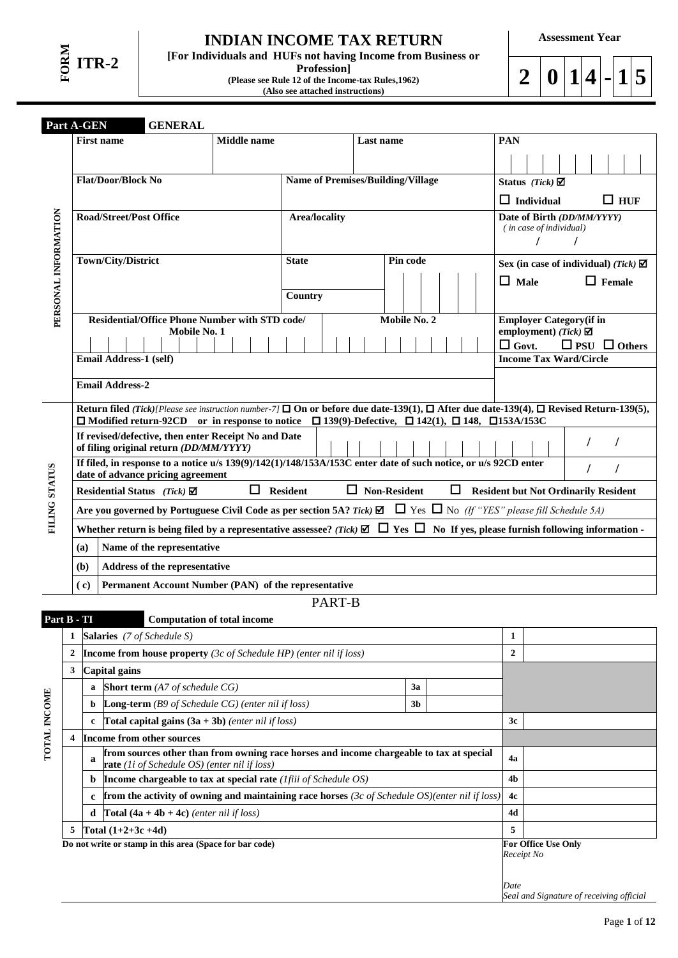# **INDIAN INCOME TAX RETURN**

**[For Individuals and HUFs not having Income from Business or Profession]**

**(Please see Rule 12 of the Income-tax Rules,1962) (Also see attached instructions)** 

**Assessment Year**

 $2 | 0 | 1 | 4 | - 1 | 5$ 

|                      |                                                                                                                                                     | Part A-GEN                                                                                                                                                                        | <b>GENERAL</b>                                    |                                                                                                                                         |                                                                                                                                                                |           |  |                |  |  |            |              |                                                |                          |               |            |  |
|----------------------|-----------------------------------------------------------------------------------------------------------------------------------------------------|-----------------------------------------------------------------------------------------------------------------------------------------------------------------------------------|---------------------------------------------------|-----------------------------------------------------------------------------------------------------------------------------------------|----------------------------------------------------------------------------------------------------------------------------------------------------------------|-----------|--|----------------|--|--|------------|--------------|------------------------------------------------|--------------------------|---------------|------------|--|
|                      |                                                                                                                                                     | <b>First name</b>                                                                                                                                                                 |                                                   | <b>Middle</b> name                                                                                                                      |                                                                                                                                                                | Last name |  |                |  |  | <b>PAN</b> |              |                                                |                          |               |            |  |
|                      |                                                                                                                                                     |                                                                                                                                                                                   |                                                   |                                                                                                                                         |                                                                                                                                                                |           |  |                |  |  |            |              |                                                |                          |               |            |  |
|                      |                                                                                                                                                     | <b>Flat/Door/Block No</b>                                                                                                                                                         |                                                   |                                                                                                                                         | <b>Name of Premises/Building/Village</b>                                                                                                                       |           |  |                |  |  |            |              | Status (Tick) $\boxtimes$                      |                          |               |            |  |
|                      |                                                                                                                                                     |                                                                                                                                                                                   |                                                   |                                                                                                                                         |                                                                                                                                                                |           |  |                |  |  |            |              | $\Box$ Individual                              |                          |               | $\Box$ HUF |  |
|                      |                                                                                                                                                     | <b>Road/Street/Post Office</b>                                                                                                                                                    |                                                   |                                                                                                                                         | <b>Area/locality</b>                                                                                                                                           |           |  |                |  |  |            |              | Date of Birth (DD/MM/YYYY)                     |                          |               |            |  |
|                      |                                                                                                                                                     |                                                                                                                                                                                   |                                                   |                                                                                                                                         |                                                                                                                                                                |           |  |                |  |  |            |              | (in case of individual)                        |                          |               |            |  |
| PERSONAL INFORMATION |                                                                                                                                                     |                                                                                                                                                                                   |                                                   |                                                                                                                                         |                                                                                                                                                                |           |  |                |  |  |            |              |                                                |                          |               |            |  |
|                      |                                                                                                                                                     | Town/City/District                                                                                                                                                                |                                                   |                                                                                                                                         | <b>State</b>                                                                                                                                                   |           |  | Pin code       |  |  |            |              | Sex (in case of individual) (Tick) $\boxtimes$ |                          |               |            |  |
|                      |                                                                                                                                                     |                                                                                                                                                                                   |                                                   |                                                                                                                                         |                                                                                                                                                                |           |  |                |  |  |            | $\Box$ Male  |                                                |                          | $\Box$ Female |            |  |
|                      |                                                                                                                                                     |                                                                                                                                                                                   |                                                   |                                                                                                                                         | Country                                                                                                                                                        |           |  |                |  |  |            |              |                                                |                          |               |            |  |
|                      |                                                                                                                                                     |                                                                                                                                                                                   |                                                   | <b>Residential/Office Phone Number with STD code/</b>                                                                                   |                                                                                                                                                                |           |  | Mobile No. 2   |  |  |            |              | <b>Employer Category</b> (if in                |                          |               |            |  |
|                      |                                                                                                                                                     |                                                                                                                                                                                   | Mobile No. 1                                      |                                                                                                                                         |                                                                                                                                                                |           |  |                |  |  |            | $\Box$ Govt. | employment) (Tick) $\boxtimes$                 | $\Box$ PSU $\Box$ Others |               |            |  |
|                      |                                                                                                                                                     | <b>Email Address-1 (self)</b>                                                                                                                                                     |                                                   |                                                                                                                                         |                                                                                                                                                                |           |  |                |  |  |            |              | <b>Income Tax Ward/Circle</b>                  |                          |               |            |  |
|                      |                                                                                                                                                     | <b>Email Address-2</b>                                                                                                                                                            |                                                   |                                                                                                                                         |                                                                                                                                                                |           |  |                |  |  |            |              |                                                |                          |               |            |  |
|                      |                                                                                                                                                     |                                                                                                                                                                                   |                                                   |                                                                                                                                         |                                                                                                                                                                |           |  |                |  |  |            |              |                                                |                          |               |            |  |
|                      |                                                                                                                                                     |                                                                                                                                                                                   |                                                   |                                                                                                                                         | Return filed (Tick)[Please see instruction number-7] $\square$ On or before due date-139(1), $\square$ After due date-139(4), $\square$ Revised Return-139(5), |           |  |                |  |  |            |              |                                                |                          |               |            |  |
|                      |                                                                                                                                                     | $\Box$ Modified return-92CD or in response to notice $\Box$ 139(9)-Defective, $\Box$ 142(1), $\Box$ 148, $\Box$ 153A/153C<br>If revised/defective, then enter Receipt No and Date |                                                   |                                                                                                                                         |                                                                                                                                                                |           |  |                |  |  |            |              |                                                |                          |               |            |  |
|                      | of filing original return (DD/MM/YYYY)                                                                                                              |                                                                                                                                                                                   |                                                   |                                                                                                                                         |                                                                                                                                                                |           |  |                |  |  |            |              |                                                |                          |               |            |  |
|                      | If filed, in response to a notice u/s 139(9)/142(1)/148/153A/153C enter date of such notice, or u/s 92CD enter<br>date of advance pricing agreement |                                                                                                                                                                                   |                                                   |                                                                                                                                         |                                                                                                                                                                |           |  |                |  |  |            |              |                                                |                          |               |            |  |
| FILING STATUS        | $\Box$ Resident<br>$\Box$ Non-Resident<br>$\Box$ Resident but Not Ordinarily Resident<br>Residential Status (Tick) $\boxtimes$                      |                                                                                                                                                                                   |                                                   |                                                                                                                                         |                                                                                                                                                                |           |  |                |  |  |            |              |                                                |                          |               |            |  |
|                      |                                                                                                                                                     |                                                                                                                                                                                   |                                                   |                                                                                                                                         | Are you governed by Portuguese Civil Code as per section 5A? Tick) $\Box$ Tes $\Box$ No (If "YES" please fill Schedule 5A)                                     |           |  |                |  |  |            |              |                                                |                          |               |            |  |
|                      |                                                                                                                                                     |                                                                                                                                                                                   |                                                   |                                                                                                                                         | Whether return is being filed by a representative assessee? (Tick) $\boxdot$ $\Box$ Yes $\Box$ No If yes, please furnish following information -               |           |  |                |  |  |            |              |                                                |                          |               |            |  |
|                      |                                                                                                                                                     | (a)                                                                                                                                                                               | Name of the representative                        |                                                                                                                                         |                                                                                                                                                                |           |  |                |  |  |            |              |                                                |                          |               |            |  |
|                      |                                                                                                                                                     | (b)                                                                                                                                                                               | Address of the representative                     |                                                                                                                                         |                                                                                                                                                                |           |  |                |  |  |            |              |                                                |                          |               |            |  |
|                      |                                                                                                                                                     | (c)                                                                                                                                                                               |                                                   |                                                                                                                                         | Permanent Account Number (PAN) of the representative                                                                                                           |           |  |                |  |  |            |              |                                                |                          |               |            |  |
|                      |                                                                                                                                                     |                                                                                                                                                                                   |                                                   |                                                                                                                                         | PART-B                                                                                                                                                         |           |  |                |  |  |            |              |                                                |                          |               |            |  |
| Part B - TI          |                                                                                                                                                     |                                                                                                                                                                                   |                                                   | <b>Computation of total income</b>                                                                                                      |                                                                                                                                                                |           |  |                |  |  |            |              |                                                |                          |               |            |  |
|                      | 1                                                                                                                                                   | Salaries (7 of Schedule S)                                                                                                                                                        |                                                   |                                                                                                                                         |                                                                                                                                                                |           |  |                |  |  |            | 1            |                                                |                          |               |            |  |
|                      | $\boldsymbol{2}$                                                                                                                                    |                                                                                                                                                                                   |                                                   |                                                                                                                                         | <b>Income from house property</b> (3c of Schedule HP) (enter nil if loss)                                                                                      |           |  |                |  |  |            | $\mathbf{2}$ |                                                |                          |               |            |  |
|                      | 3                                                                                                                                                   | <b>Capital</b> gains                                                                                                                                                              |                                                   |                                                                                                                                         |                                                                                                                                                                |           |  |                |  |  |            |              |                                                |                          |               |            |  |
|                      |                                                                                                                                                     | a                                                                                                                                                                                 | Short term (A7 of schedule CG)                    |                                                                                                                                         |                                                                                                                                                                |           |  | 3a             |  |  |            |              |                                                |                          |               |            |  |
|                      |                                                                                                                                                     | b                                                                                                                                                                                 |                                                   | Long-term (B9 of Schedule CG) (enter nil if loss)                                                                                       |                                                                                                                                                                |           |  | 3 <sub>b</sub> |  |  |            |              |                                                |                          |               |            |  |
|                      |                                                                                                                                                     | c                                                                                                                                                                                 |                                                   | Total capital gains $(3a + 3b)$ (enter nil if loss)                                                                                     |                                                                                                                                                                |           |  |                |  |  |            | 3c           |                                                |                          |               |            |  |
| <b>TOTAL INCOME</b>  | 4                                                                                                                                                   | Income from other sources                                                                                                                                                         |                                                   |                                                                                                                                         |                                                                                                                                                                |           |  |                |  |  |            | 4a           |                                                |                          |               |            |  |
|                      |                                                                                                                                                     | a                                                                                                                                                                                 |                                                   | from sources other than from owning race horses and income chargeable to tax at special<br>rate (1i of Schedule OS) (enter nil if loss) |                                                                                                                                                                |           |  |                |  |  |            |              |                                                |                          |               |            |  |
|                      |                                                                                                                                                     | b                                                                                                                                                                                 |                                                   |                                                                                                                                         | Income chargeable to tax at special rate ( <i>Ifiii of Schedule OS</i> )                                                                                       |           |  |                |  |  |            | 4b           |                                                |                          |               |            |  |
|                      |                                                                                                                                                     | $\mathbf c$                                                                                                                                                                       |                                                   |                                                                                                                                         | from the activity of owning and maintaining race horses (3c of Schedule OS)(enter nil if loss)                                                                 |           |  |                |  |  |            | 4c           |                                                |                          |               |            |  |
|                      |                                                                                                                                                     | d                                                                                                                                                                                 | <b>Total</b> $(4a + 4b + 4c)$ (enter nil if loss) |                                                                                                                                         |                                                                                                                                                                |           |  |                |  |  |            | 4d           |                                                |                          |               |            |  |

**5 Total (1+2+3c +4d) 5**

**Do not write or stamp in this area (Space for bar code) For Office Use Only**

*Receipt No*

*Date Seal and Signature of receiving official*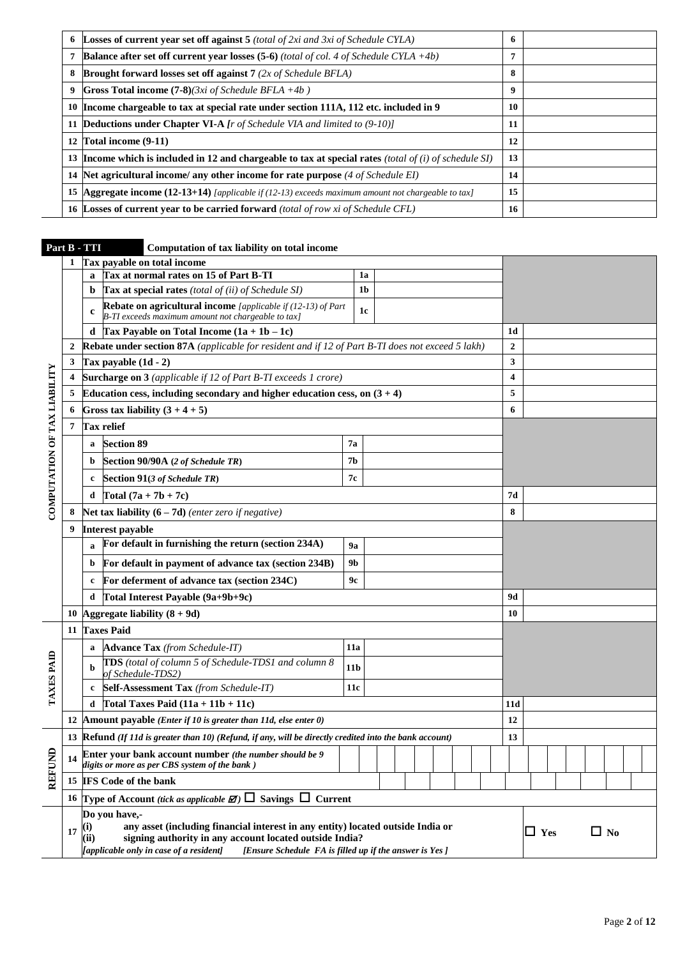| 6 | <b>Losses of current year set off against 5</b> (total of 2xi and 3xi of Schedule CYLA)                    | 6  |  |
|---|------------------------------------------------------------------------------------------------------------|----|--|
|   | <b>Balance after set off current year losses (5-6)</b> (total of col. 4 of Schedule CYLA $+4b$ )           | 7  |  |
| 8 | <b>Brought forward losses set off against 7</b> ( $2x$ of Schedule BFLA)                                   | 8  |  |
| 9 | <b>Gross Total income (7-8)</b> $(3xi \text{ of Scheduled} BELA + 4b)$                                     | 9  |  |
|   | 10 Income chargeable to tax at special rate under section 111A, 112 etc. included in 9                     | 10 |  |
|   | 11 <b>Deductions under Chapter VI-A</b> <i>[r of Schedule VIA and limited to (9-10)]</i>                   | 11 |  |
|   | 12 Total income (9-11)                                                                                     | 12 |  |
|   | 13 Income which is included in 12 and chargeable to tax at special rates (total of $(i)$ of schedule SI)   | 13 |  |
|   | 14 Net agricultural income/ any other income for rate purpose $(4 \text{ of Scheduling EI})$               | 14 |  |
|   | <b>15 Aggregate income (12-13+14)</b> [applicable if (12-13) exceeds maximum amount not chargeable to tax] | 15 |  |
|   | <b>16 Losses of current vear to be carried forward</b> (total of row xi of Schedule CFL)                   | 16 |  |

# **Part B - TTI Computation of tax liability on total income**

|                              | 1            | Tax payable on total income                                                                                                                                                                                                                                                          |                 |                |  |  |                  |            |  |           |  |  |
|------------------------------|--------------|--------------------------------------------------------------------------------------------------------------------------------------------------------------------------------------------------------------------------------------------------------------------------------------|-----------------|----------------|--|--|------------------|------------|--|-----------|--|--|
|                              |              | Tax at normal rates on 15 of Part B-TI<br>a                                                                                                                                                                                                                                          |                 | 1a             |  |  |                  |            |  |           |  |  |
|                              |              | Tax at special rates (total of (ii) of Schedule SI)<br>b                                                                                                                                                                                                                             |                 | 1 <sub>b</sub> |  |  |                  |            |  |           |  |  |
|                              |              | <b>Rebate on agricultural income</b> [applicable if (12-13) of Part<br>c<br>B-TI exceeds maximum amount not chargeable to tax]                                                                                                                                                       |                 | 1c             |  |  |                  |            |  |           |  |  |
|                              |              | Tax Payable on Total Income $(1a + 1b - 1c)$<br>d                                                                                                                                                                                                                                    |                 |                |  |  | 1d               |            |  |           |  |  |
|                              | $\mathbf{2}$ | Rebate under section 87A (applicable for resident and if 12 of Part B-TI does not exceed 5 lakh)                                                                                                                                                                                     |                 |                |  |  | $\boldsymbol{2}$ |            |  |           |  |  |
|                              | 3            | Tax payable $(1d - 2)$                                                                                                                                                                                                                                                               |                 |                |  |  | 3                |            |  |           |  |  |
|                              | 4            | Surcharge on 3 (applicable if 12 of Part B-TI exceeds 1 crore)                                                                                                                                                                                                                       |                 |                |  |  | 4                |            |  |           |  |  |
|                              | 5            | Education cess, including secondary and higher education cess, on $(3 + 4)$                                                                                                                                                                                                          |                 |                |  |  | 5                |            |  |           |  |  |
|                              | 6            | Gross tax liability $(3 + 4 + 5)$                                                                                                                                                                                                                                                    |                 |                |  |  | 6                |            |  |           |  |  |
|                              | 7            | <b>Tax relief</b>                                                                                                                                                                                                                                                                    |                 |                |  |  |                  |            |  |           |  |  |
|                              |              | <b>Section 89</b><br>a                                                                                                                                                                                                                                                               | 7а              |                |  |  |                  |            |  |           |  |  |
|                              |              | Section 90/90A (2 of Schedule TR)<br>b                                                                                                                                                                                                                                               | <b>7b</b>       |                |  |  |                  |            |  |           |  |  |
| COMPUTATION OF TAX LIABILITY |              | <b>Section 91(3 of Schedule TR)</b><br>c                                                                                                                                                                                                                                             | 7с              |                |  |  |                  |            |  |           |  |  |
|                              |              | Total $(7a + 7b + 7c)$<br>d                                                                                                                                                                                                                                                          |                 |                |  |  | 7d               |            |  |           |  |  |
|                              | 8            | Net tax liability $(6 - 7d)$ (enter zero if negative)                                                                                                                                                                                                                                |                 |                |  |  | 8                |            |  |           |  |  |
|                              | 9            | <b>Interest payable</b>                                                                                                                                                                                                                                                              |                 |                |  |  |                  |            |  |           |  |  |
|                              |              | For default in furnishing the return (section 234A)                                                                                                                                                                                                                                  | 9a              |                |  |  |                  |            |  |           |  |  |
|                              |              | For default in payment of advance tax (section 234B)<br>b                                                                                                                                                                                                                            | 9 <b>b</b>      |                |  |  |                  |            |  |           |  |  |
|                              |              | For deferment of advance tax (section 234C)<br>c                                                                                                                                                                                                                                     | 9с              |                |  |  |                  |            |  |           |  |  |
|                              |              | Total Interest Payable (9a+9b+9c)<br>d                                                                                                                                                                                                                                               |                 |                |  |  | 9d               |            |  |           |  |  |
|                              | 10           | Aggregate liability $(8 + 9d)$                                                                                                                                                                                                                                                       |                 |                |  |  | 10               |            |  |           |  |  |
|                              | 11           | <b>Taxes Paid</b>                                                                                                                                                                                                                                                                    |                 |                |  |  |                  |            |  |           |  |  |
|                              |              | <b>Advance Tax</b> (from Schedule-IT)<br>a                                                                                                                                                                                                                                           | 11a             |                |  |  |                  |            |  |           |  |  |
| TAXES PAID                   |              | TDS (total of column 5 of Schedule-TDS1 and column 8<br>of Schedule-TDS2)                                                                                                                                                                                                            | 11 <sub>b</sub> |                |  |  |                  |            |  |           |  |  |
|                              |              | Self-Assessment Tax (from Schedule-IT)<br>c                                                                                                                                                                                                                                          | 11c             |                |  |  |                  |            |  |           |  |  |
|                              |              | Total Taxes Paid $(11a + 11b + 11c)$<br>d                                                                                                                                                                                                                                            |                 |                |  |  | 11d              |            |  |           |  |  |
|                              | 12           | Amount payable ( <i>Enter if 10 is greater than 11d, else enter 0</i> )                                                                                                                                                                                                              |                 |                |  |  | 12               |            |  |           |  |  |
|                              | 13           | $Refund (If 11d is greater than 10) (Refund, if any, will be directly credited into the bank account)$                                                                                                                                                                               |                 |                |  |  | 13               |            |  |           |  |  |
| $\mathbf{\hat{g}}$           | 14           | Enter your bank account number (the number should be 9<br>digits or more as per CBS system of the bank)                                                                                                                                                                              |                 |                |  |  |                  |            |  |           |  |  |
| REF                          | 15           | <b>IFS</b> Code of the bank                                                                                                                                                                                                                                                          |                 |                |  |  |                  |            |  |           |  |  |
|                              |              | 16 Type of Account (tick as applicable $\mathbb{Z}$ ) $\Box$ Savings $\Box$ Current                                                                                                                                                                                                  |                 |                |  |  |                  |            |  |           |  |  |
|                              | 17           | Do you have,-<br>any asset (including financial interest in any entity) located outside India or<br>$\bf(i)$<br>(ii)<br>signing authority in any account located outside India?<br>[applicable only in case of a resident]<br>[Ensure Schedule FA is filled up if the answer is Yes] |                 |                |  |  |                  | $\Box$ Yes |  | $\Box$ No |  |  |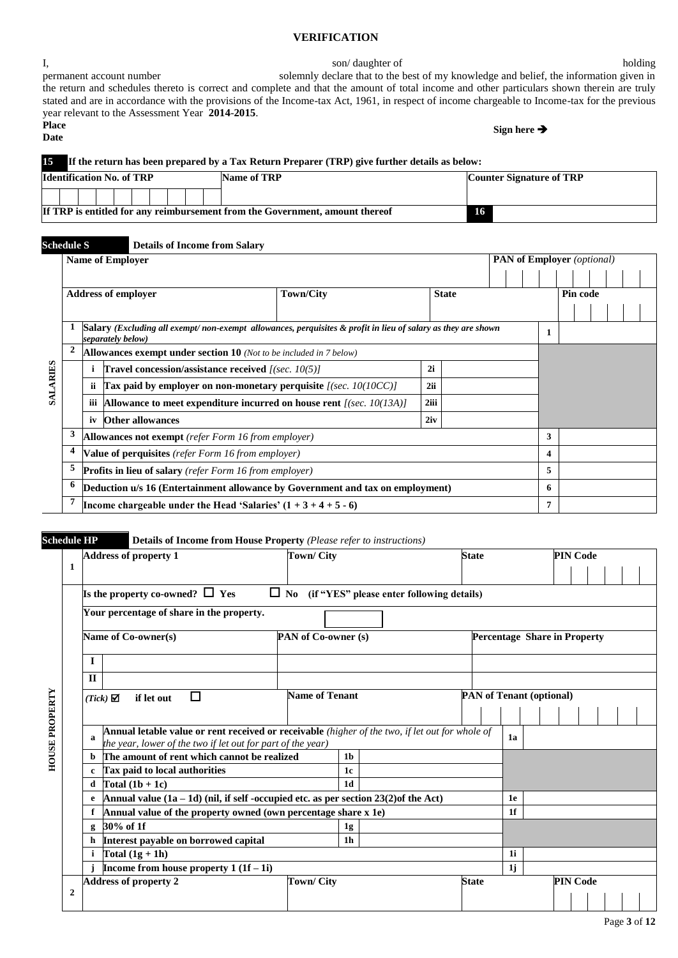#### **VERIFICATION**

I, son/daughter of holding permanent account number solemnly declare that to the best of my knowledge and belief, the information given in the return and schedules thereto is correct and complete and that the amount of total income and other particulars shown therein are truly stated and are in accordance with the provisions of the Income-tax Act, 1961, in respect of income chargeable to Income-tax for the previous year relevant to the Assessment Year **2014**-**2015**. **Place Date Sign here** 

# **15 If the return has been prepared by a Tax Return Preparer (TRP) give further details as below:**

| <b>Identification No. of TRP</b> |  |  |  |  |  |  |  | Name of TRP                                                                  | <b>Counter Signature of TRP</b> |
|----------------------------------|--|--|--|--|--|--|--|------------------------------------------------------------------------------|---------------------------------|
|                                  |  |  |  |  |  |  |  |                                                                              |                                 |
|                                  |  |  |  |  |  |  |  | If TRP is entitled for any reimbursement from the Government, amount thereof | 16                              |

# **Schedule S Details of Income from Salary SALARIES Name of Employer PAN of Employer** *(optional)* **Address of employer Town/City State Pin code 1 Salary** *(Excluding all exempt/ non-exempt allowances, perquisites & profit in lieu of salary as they are shown separately below)* **<sup>1</sup> 2 Allowances exempt under section 10** *(Not to be included in 7 below)* **i Travel concession/assistance received** *[(sec. 10(5)]* **2i ii Tax paid by employer on non-monetary perquisite** *[(sec. 10(10CC)]* **2ii iii Allowance to meet expenditure incurred on house rent** *[(sec. 10(13A)]* **2iii iv Other allowances 2iv 3 Allowances not exempt** *(refer Form 16 from employer)* **3 4 Value of perquisites** *(refer Form 16 from employer)* **4 5 Profits in lieu of salary** *(refer Form 16 from employer)* **5 6 Deduction u/s 16 (Entertainment allowance by Government and tax on employment) 6 7 Income chargeable under the Head 'Salaries'**  $(1 + 3 + 4 + 5 - 6)$  **7**

#### **Schedule HP Details of Income from House Property** *(Please refer to instructions)*

|                       |                |             | <b>Address of property 1</b>                                                                                                                                   | <b>Town/City</b>           |                |                                                     |  | <b>State</b> |    |                                 |                                     | <b>PIN Code</b> |  |  |  |  |  |
|-----------------------|----------------|-------------|----------------------------------------------------------------------------------------------------------------------------------------------------------------|----------------------------|----------------|-----------------------------------------------------|--|--------------|----|---------------------------------|-------------------------------------|-----------------|--|--|--|--|--|
|                       | 1              |             |                                                                                                                                                                |                            |                |                                                     |  |              |    |                                 |                                     |                 |  |  |  |  |  |
|                       |                |             | Is the property co-owned? $\Box$ Yes                                                                                                                           |                            |                | $\Box$ No (if "YES" please enter following details) |  |              |    |                                 |                                     |                 |  |  |  |  |  |
|                       |                |             | Your percentage of share in the property.                                                                                                                      |                            |                |                                                     |  |              |    |                                 |                                     |                 |  |  |  |  |  |
|                       |                |             | Name of Co-owner(s)                                                                                                                                            | <b>PAN of Co-owner (s)</b> |                |                                                     |  |              |    |                                 | <b>Percentage Share in Property</b> |                 |  |  |  |  |  |
|                       |                | $\mathbf I$ |                                                                                                                                                                |                            |                |                                                     |  |              |    |                                 |                                     |                 |  |  |  |  |  |
|                       |                | $\Pi$       |                                                                                                                                                                |                            |                |                                                     |  |              |    |                                 |                                     |                 |  |  |  |  |  |
|                       |                |             | П<br>$(Tick)$ $\Box$<br>if let out                                                                                                                             | <b>Name of Tenant</b>      |                |                                                     |  |              |    | <b>PAN</b> of Tenant (optional) |                                     |                 |  |  |  |  |  |
|                       |                |             |                                                                                                                                                                |                            |                |                                                     |  |              |    |                                 |                                     |                 |  |  |  |  |  |
| <b>HOUSE PROPERTY</b> |                | a           | Annual letable value or rent received or receivable (higher of the two, if let out for whole of<br>the year, lower of the two if let out for part of the year) |                            |                |                                                     |  |              | 1a |                                 |                                     |                 |  |  |  |  |  |
|                       |                | b           | The amount of rent which cannot be realized                                                                                                                    |                            | 1 <sub>b</sub> |                                                     |  |              |    |                                 |                                     |                 |  |  |  |  |  |
|                       |                | c           | Tax paid to local authorities                                                                                                                                  |                            | 1 <sub>c</sub> |                                                     |  |              |    |                                 |                                     |                 |  |  |  |  |  |
|                       |                | d           | Total $(1b + 1c)$                                                                                                                                              |                            | 1d             |                                                     |  |              |    |                                 |                                     |                 |  |  |  |  |  |
|                       |                | e           | Annual value $(1a - 1d)$ (nil, if self-occupied etc. as per section 23(2) of the Act)                                                                          |                            |                |                                                     |  |              | 1e |                                 |                                     |                 |  |  |  |  |  |
|                       |                | f           | Annual value of the property owned (own percentage share x 1e)                                                                                                 |                            |                |                                                     |  |              | 1f |                                 |                                     |                 |  |  |  |  |  |
|                       |                | g           | 30% of 1f                                                                                                                                                      |                            | 1g             |                                                     |  |              |    |                                 |                                     |                 |  |  |  |  |  |
|                       |                | h           | Interest payable on borrowed capital                                                                                                                           |                            | 1 <sub>h</sub> |                                                     |  |              |    |                                 |                                     |                 |  |  |  |  |  |
|                       |                |             | Total $(1g + 1h)$                                                                                                                                              |                            |                |                                                     |  |              | 1i |                                 |                                     |                 |  |  |  |  |  |
|                       |                |             | Income from house property $1(1f-1i)$                                                                                                                          |                            |                |                                                     |  |              | 1j |                                 |                                     |                 |  |  |  |  |  |
|                       |                |             | <b>Address of property 2</b>                                                                                                                                   | Town/ City                 |                |                                                     |  | <b>State</b> |    |                                 |                                     | <b>PIN Code</b> |  |  |  |  |  |
|                       | $\overline{2}$ |             |                                                                                                                                                                |                            |                |                                                     |  |              |    |                                 |                                     |                 |  |  |  |  |  |

Page **3** of **12**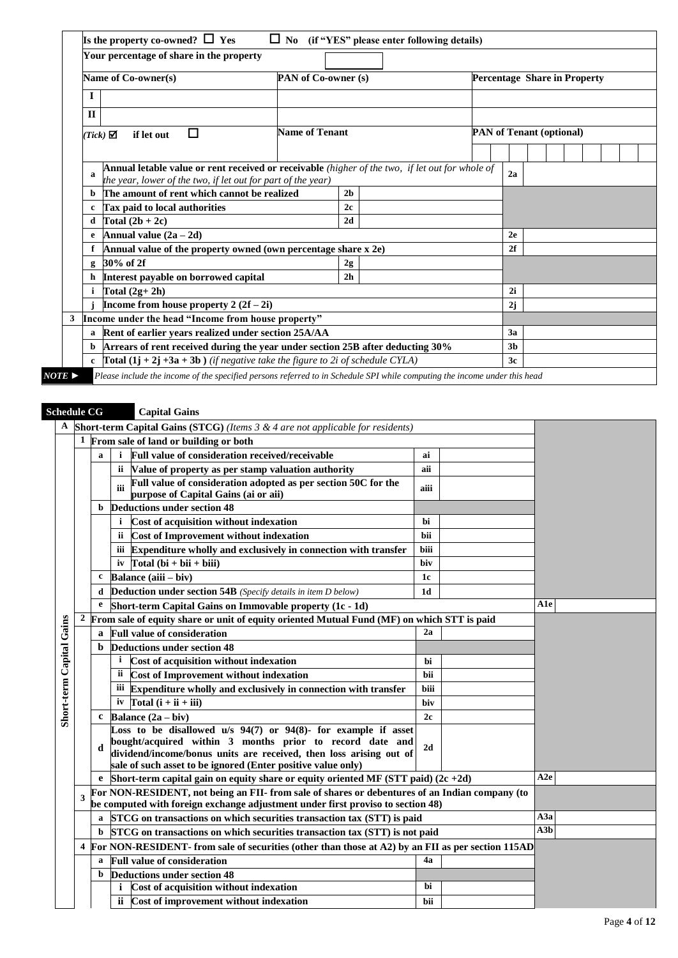|              | Your percentage of share in the property                                                                                                                        |                     |                |  |                |                                     |  |  |
|--------------|-----------------------------------------------------------------------------------------------------------------------------------------------------------------|---------------------|----------------|--|----------------|-------------------------------------|--|--|
|              | Name of Co-owner(s)                                                                                                                                             | PAN of Co-owner (s) |                |  |                | <b>Percentage Share in Property</b> |  |  |
| $\mathbf I$  |                                                                                                                                                                 |                     |                |  |                |                                     |  |  |
| $\mathbf{H}$ |                                                                                                                                                                 |                     |                |  |                |                                     |  |  |
|              | П<br>$(Tick)$ $\Box$<br>if let out                                                                                                                              | Name of Tenant      |                |  |                | <b>PAN</b> of Tenant (optional)     |  |  |
|              |                                                                                                                                                                 |                     |                |  |                |                                     |  |  |
| a            | Annual letable value or rent received or receivable (higher of the two, if let out for whole of<br>the year, lower of the two, if let out for part of the year) |                     |                |  | 2a             |                                     |  |  |
| b.           | The amount of rent which cannot be realized                                                                                                                     |                     | 2 <sub>b</sub> |  |                |                                     |  |  |
| $\mathbf c$  | Tax paid to local authorities                                                                                                                                   |                     | 2c             |  |                |                                     |  |  |
| d            | Total $(2b + 2c)$                                                                                                                                               |                     | 2d             |  |                |                                     |  |  |
| e            | Annual value $(2a - 2d)$                                                                                                                                        |                     |                |  | 2e             |                                     |  |  |
|              | Annual value of the property owned (own percentage share x 2e)                                                                                                  |                     |                |  | 2f             |                                     |  |  |
| $\mathbf{g}$ | 30% of 2f                                                                                                                                                       |                     | 2g             |  |                |                                     |  |  |
| h            | Interest payable on borrowed capital                                                                                                                            |                     | 2 <sub>h</sub> |  |                |                                     |  |  |
| i.           | Total $(2g+2h)$                                                                                                                                                 |                     |                |  | 2i             |                                     |  |  |
|              | Income from house property $2(2f-2i)$                                                                                                                           |                     |                |  | 2j             |                                     |  |  |
| 3            | Income under the head "Income from house property"                                                                                                              |                     |                |  |                |                                     |  |  |
| a            | Rent of earlier years realized under section 25A/AA                                                                                                             |                     |                |  | 3a             |                                     |  |  |
| b            | Arrears of rent received during the year under section 25B after deducting 30%                                                                                  |                     |                |  | 3 <sub>b</sub> |                                     |  |  |
| $\mathbf{c}$ | <b>Total</b> $(1j + 2j + 3a + 3b)$ <i>(if negative take the figure to 2i of schedule CYLA)</i>                                                                  |                     |                |  | 3c             |                                     |  |  |

# **Schedule CG Capital Gains**

| A                        |                  |              | <b>Short-term Capital Gains (STCG)</b> (Items $3 \& 4$ are not applicable for residents)                                       |             |                         |  |
|--------------------------|------------------|--------------|--------------------------------------------------------------------------------------------------------------------------------|-------------|-------------------------|--|
|                          | 1                |              | From sale of land or building or both                                                                                          |             |                         |  |
|                          |                  | a            | Full value of consideration received/receivable<br>$\mathbf{i}$                                                                | ai          |                         |  |
|                          |                  |              | Value of property as per stamp valuation authority<br>ii.                                                                      | aii         |                         |  |
|                          |                  |              | Full value of consideration adopted as per section 50C for the<br>iii                                                          | aiii        |                         |  |
|                          |                  |              | purpose of Capital Gains (ai or aii)                                                                                           |             |                         |  |
|                          |                  |              | <b>Deductions under section 48</b>                                                                                             |             |                         |  |
|                          |                  |              | <i>i</i> Cost of acquisition without indexation                                                                                | hi          |                         |  |
|                          |                  |              | ii Cost of Improvement without indexation                                                                                      | bii         |                         |  |
|                          |                  |              | iii Expenditure wholly and exclusively in connection with transfer                                                             | <b>biii</b> |                         |  |
|                          |                  |              | iv $\int \text{Total} (bi + bii + biii)$                                                                                       | biv         |                         |  |
|                          |                  | c            | Balance (aiii - biv)                                                                                                           | 1c          |                         |  |
|                          |                  | d            | Deduction under section 54B (Specify details in item D below)                                                                  | 1d          |                         |  |
|                          |                  | e            | Short-term Capital Gains on Immovable property (1c - 1d)                                                                       |             | A1e                     |  |
| Short-term Capital Gains | $\boldsymbol{2}$ |              | From sale of equity share or unit of equity oriented Mutual Fund (MF) on which STT is paid                                     |             |                         |  |
|                          |                  | a            | <b>Full value of consideration</b>                                                                                             | 2a          |                         |  |
|                          |                  | b            | <b>Deductions under section 48</b>                                                                                             |             |                         |  |
|                          |                  |              | <sup>i</sup> Cost of acquisition without indexation                                                                            | hi          |                         |  |
|                          |                  |              | Cost of Improvement without indexation<br>ii.                                                                                  | hii         |                         |  |
|                          |                  |              | iii Expenditure wholly and exclusively in connection with transfer                                                             | biii        |                         |  |
|                          |                  |              | iv $Total(i + ii + iii)$                                                                                                       | biv         |                         |  |
|                          |                  | $\mathbf{c}$ | Balance $(2a - biv)$                                                                                                           | 2c          |                         |  |
|                          |                  |              | Loss to be disallowed $u/s$ 94(7) or 94(8)- for example if asset                                                               |             |                         |  |
|                          |                  | d            | bought/acquired within 3 months prior to record date and<br>dividend/income/bonus units are received, then loss arising out of | 2d          |                         |  |
|                          |                  |              | sale of such asset to be ignored (Enter positive value only)                                                                   |             |                         |  |
|                          |                  |              | e Short-term capital gain on equity share or equity oriented MF (STT paid) $(2c + 2d)$                                         |             | A2e                     |  |
|                          |                  |              | For NON-RESIDENT, not being an FII- from sale of shares or debentures of an Indian company (to                                 |             |                         |  |
|                          | 3                |              | be computed with foreign exchange adjustment under first proviso to section 48)                                                |             |                         |  |
|                          |                  |              | STCG on transactions on which securities transaction tax (STT) is paid                                                         |             | A3a                     |  |
|                          |                  | b            | STCG on transactions on which securities transaction tax (STT) is not paid                                                     |             | $\overline{\text{A3b}}$ |  |
|                          | 4                |              | For NON-RESIDENT- from sale of securities (other than those at A2) by an FII as per section 115AD                              |             |                         |  |
|                          |                  | a            | <b>Full value of consideration</b>                                                                                             | 4a          |                         |  |
|                          |                  | b            | <b>Deductions under section 48</b>                                                                                             |             |                         |  |
|                          |                  |              | Cost of acquisition without indexation                                                                                         | bi          |                         |  |
|                          |                  |              | ii Cost of improvement without indexation                                                                                      |             |                         |  |
|                          |                  |              |                                                                                                                                | bii         |                         |  |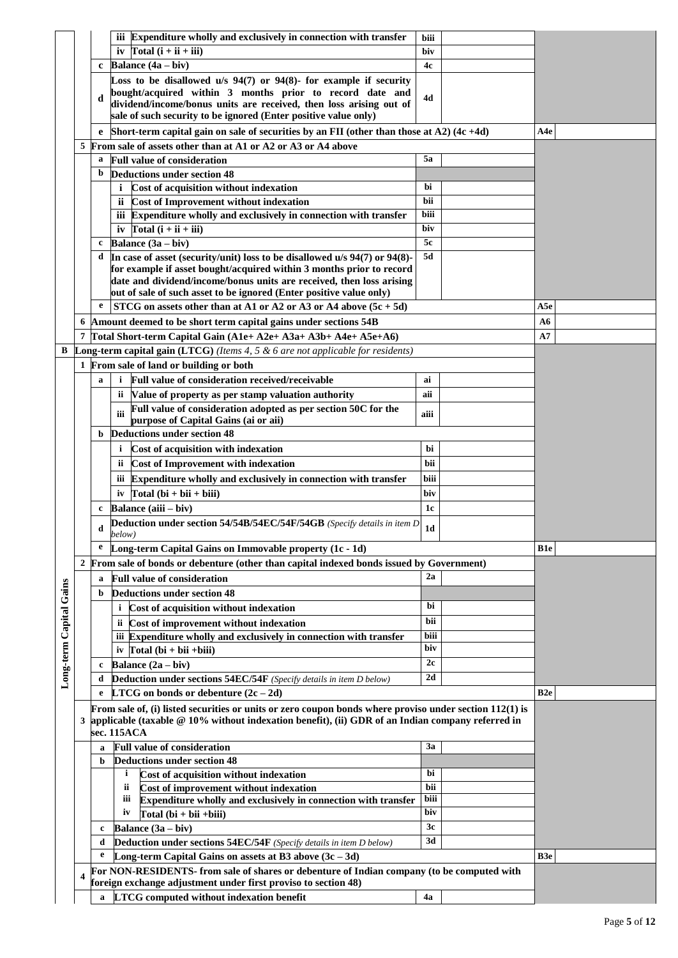|                         |   |          | iii Expenditure wholly and exclusively in connection with transfer                                                | biii           |                 |
|-------------------------|---|----------|-------------------------------------------------------------------------------------------------------------------|----------------|-----------------|
|                         |   |          | iv Total $\overline{(\mathbf{i} + \mathbf{ii} + \mathbf{iii})}$                                                   | biv            |                 |
|                         |   | c        | <b>Balance</b> $(4a - biv)$                                                                                       | 4c             |                 |
|                         |   |          | Loss to be disallowed $u/s$ 94(7) or 94(8)- for example if security                                               |                |                 |
|                         |   | d        | bought/acquired within 3 months prior to record date and                                                          | 4d             |                 |
|                         |   |          | dividend/income/bonus units are received, then loss arising out of                                                |                |                 |
|                         |   |          | sale of such security to be ignored (Enter positive value only)                                                   |                |                 |
|                         |   |          | Short-term capital gain on sale of securities by an FII (other than those at A2) $(4c + 4d)$                      |                | A4e             |
|                         | 5 |          | From sale of assets other than at A1 or A2 or A3 or A4 above                                                      |                |                 |
|                         |   | a        | <b>Full value of consideration</b>                                                                                | 5a             |                 |
|                         |   | b        | <b>Deductions under section 48</b>                                                                                |                |                 |
|                         |   |          | i Cost of acquisition without indexation                                                                          | bi             |                 |
|                         |   |          | ii Cost of Improvement without indexation                                                                         | bii            |                 |
|                         |   |          | iii Expenditure wholly and exclusively in connection with transfer                                                | biii           |                 |
|                         |   |          | iv $\text{Total}(\mathbf{i} + \mathbf{ii} + \mathbf{iii})$                                                        | biv            |                 |
|                         |   | c        | <b>Balance</b> $(3a - biv)$                                                                                       | 5c             |                 |
|                         |   | d        | In case of asset (security/unit) loss to be disallowed u/s 94(7) or 94(8)-                                        | 5d             |                 |
|                         |   |          | for example if asset bought/acquired within 3 months prior to record                                              |                |                 |
|                         |   |          | date and dividend/income/bonus units are received, then loss arising                                              |                |                 |
|                         |   |          | out of sale of such asset to be ignored (Enter positive value only)                                               |                |                 |
|                         |   | e        | STCG on assets other than at A1 or A2 or A3 or A4 above $(5c + 5d)$                                               |                | A5e             |
|                         | 6 |          | Amount deemed to be short term capital gains under sections 54B                                                   |                | A6              |
|                         | 7 |          | Total Short-term Capital Gain (A1e+ A2e+ A3a+ A3b+ A4e+ A5e+A6)                                                   |                | A7              |
| В                       |   |          | <b>Long-term capital gain (LTCG)</b> (Items 4, 5 $\&$ 6 are not applicable for residents)                         |                |                 |
|                         |   |          | 1 From sale of land or building or both                                                                           |                |                 |
|                         |   | a        | Full value of consideration received/receivable<br>i.                                                             | ai             |                 |
|                         |   |          | Value of property as per stamp valuation authority<br>ii -                                                        | aii            |                 |
|                         |   |          | Full value of consideration adopted as per section 50C for the                                                    |                |                 |
|                         |   |          | iii<br>purpose of Capital Gains (ai or aii)                                                                       | aiii           |                 |
|                         |   | b        | Deductions under section 48                                                                                       |                |                 |
|                         |   |          | Cost of acquisition with indexation<br>i.                                                                         | bi             |                 |
|                         |   |          | <b>Cost of Improvement with indexation</b><br>ii.                                                                 | bii            |                 |
|                         |   |          | iii Expenditure wholly and exclusively in connection with transfer                                                | biii           |                 |
|                         |   |          | iv $\Gamma$ otal (bi + bii + biii)                                                                                | biv            |                 |
|                         |   | c        | Balance (aiii – biv)                                                                                              | 1 <sub>c</sub> |                 |
|                         |   |          |                                                                                                                   |                |                 |
|                         |   |          |                                                                                                                   |                |                 |
|                         |   | d        | Deduction under section 54/54B/54EC/54F/54GB (Specify details in item D                                           | 1 <sub>d</sub> |                 |
|                         |   | e        | below)                                                                                                            |                |                 |
|                         |   |          | Long-term Capital Gains on Immovable property (1c - 1d)                                                           |                | B1e             |
|                         | 2 |          | From sale of bonds or debenture (other than capital indexed bonds issued by Government)                           |                |                 |
|                         |   | a        | <b>Full value of consideration</b>                                                                                | 2a             |                 |
|                         |   | b        | Deductions under section 48                                                                                       |                |                 |
|                         |   |          | Cost of acquisition without indexation                                                                            | bi             |                 |
|                         |   |          | ii Cost of improvement without indexation                                                                         | bii            |                 |
|                         |   |          | iii Expenditure wholly and exclusively in connection with transfer                                                | biii           |                 |
|                         |   |          | iv Total $(bi + bii +biii)$                                                                                       | biv            |                 |
|                         |   | c        | <b>Balance</b> $(2a - biv)$                                                                                       | 2c             |                 |
|                         |   | d        | Deduction under sections 54EC/54F (Specify details in item D below)                                               | 2d             |                 |
| Long-term Capital Gains |   | e        | LTCG on bonds or debenture $(2c - 2d)$                                                                            |                | B <sub>2e</sub> |
|                         |   |          | From sale of, (i) listed securities or units or zero coupon bonds where proviso under section $112(1)$ is         |                |                 |
|                         | 3 |          | applicable (taxable $@10\%$ without indexation benefit), (ii) GDR of an Indian company referred in                |                |                 |
|                         |   |          | sec. 115ACA                                                                                                       |                |                 |
|                         |   | a        | <b>Full value of consideration</b>                                                                                | 3a             |                 |
|                         |   | b        | <b>Deductions under section 48</b>                                                                                |                |                 |
|                         |   |          | i.<br>Cost of acquisition without indexation                                                                      | bi             |                 |
|                         |   |          | Cost of improvement without indexation<br>ii.                                                                     | bii            |                 |
|                         |   |          | Expenditure wholly and exclusively in connection with transfer<br>iii                                             | biii           |                 |
|                         |   |          | $Total (bi + bii + biii)$<br>iv                                                                                   | biv            |                 |
|                         |   | c        | Balance (3a – biv)                                                                                                | 3c             |                 |
|                         |   | d        | Deduction under sections 54EC/54F (Specify details in item D below)                                               | 3d             |                 |
|                         |   | e        | Long-term Capital Gains on assets at B3 above $(3c - 3d)$                                                         |                | B <sub>3e</sub> |
|                         |   |          | For NON-RESIDENTS- from sale of shares or debenture of Indian company (to be computed with                        |                |                 |
|                         |   | $\bf{a}$ | foreign exchange adjustment under first proviso to section 48)<br><b>LTCG</b> computed without indexation benefit | 4a             |                 |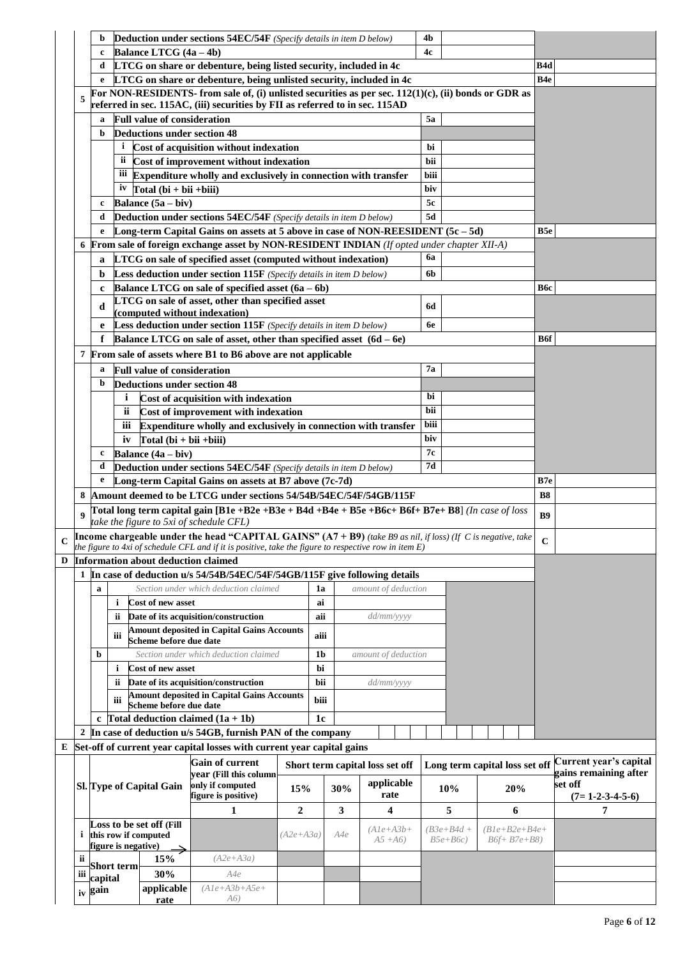|     | b                  |                     |                                       | <b>Deduction under sections 54EC/54F</b> (Specify details in item D below)                                          |                  |                |     |                                 | 4 <sub>b</sub> |                                |                 |                        |
|-----|--------------------|---------------------|---------------------------------------|---------------------------------------------------------------------------------------------------------------------|------------------|----------------|-----|---------------------------------|----------------|--------------------------------|-----------------|------------------------|
|     | c                  |                     | Balance LTCG (4a - 4b)                |                                                                                                                     |                  |                |     |                                 | 4c             |                                |                 |                        |
|     | d                  |                     |                                       | LTCG on share or debenture, being listed security, included in 4c                                                   |                  |                |     |                                 |                |                                | B4d             |                        |
|     | e                  |                     |                                       | LTCG on share or debenture, being unlisted security, included in 4c                                                 |                  |                |     |                                 |                |                                | B <sub>4e</sub> |                        |
|     |                    |                     |                                       | For NON-RESIDENTS- from sale of, (i) unlisted securities as per sec. $112(1)(c)$ , (ii) bonds or GDR as             |                  |                |     |                                 |                |                                |                 |                        |
| 5   |                    |                     |                                       | referred in sec. 115AC, (iii) securities by FII as referred to in sec. 115AD                                        |                  |                |     |                                 |                |                                |                 |                        |
|     | a                  |                     | <b>Full value of consideration</b>    |                                                                                                                     |                  |                |     |                                 | 5a             |                                |                 |                        |
|     | b                  |                     | <b>Deductions under section 48</b>    |                                                                                                                     |                  |                |     |                                 |                |                                |                 |                        |
|     |                    |                     |                                       | <sup>i</sup> Cost of acquisition without indexation                                                                 |                  |                |     |                                 | bi             |                                |                 |                        |
|     |                    |                     |                                       | ii Cost of improvement without indexation                                                                           |                  |                |     |                                 | bii            |                                |                 |                        |
|     |                    |                     |                                       | iii Expenditure wholly and exclusively in connection with transfer                                                  |                  |                |     |                                 | biii           |                                |                 |                        |
|     |                    |                     | iv Total $(bi + bii + biii)$          |                                                                                                                     |                  |                |     |                                 | biv            |                                |                 |                        |
|     | c                  |                     | Balance $(5a - biv)$                  |                                                                                                                     |                  |                |     |                                 | 5c             |                                |                 |                        |
|     | d                  |                     |                                       | <b>Deduction under sections 54EC/54F</b> (Specify details in item D below)                                          |                  |                |     |                                 | 5d             |                                |                 |                        |
|     | e                  |                     |                                       | Long-term Capital Gains on assets at 5 above in case of NON-REESIDENT (5c-5d)                                       |                  |                |     |                                 |                |                                | B5e             |                        |
| 6   |                    |                     |                                       | From sale of foreign exchange asset by NON-RESIDENT INDIAN (If opted under chapter XII-A)                           |                  |                |     |                                 |                |                                |                 |                        |
|     | a                  |                     |                                       | <b>LTCG</b> on sale of specified asset (computed without indexation)                                                |                  |                |     |                                 | 6a             |                                |                 |                        |
|     | b                  |                     |                                       | Less deduction under section 115F (Specify details in item D below)                                                 |                  |                |     |                                 | 6b             |                                |                 |                        |
|     | c                  |                     |                                       | Balance LTCG on sale of specified asset $(6a - 6b)$                                                                 |                  |                |     |                                 |                |                                | Вбс             |                        |
|     |                    |                     |                                       | LTCG on sale of asset, other than specified asset                                                                   |                  |                |     |                                 |                |                                |                 |                        |
|     | d                  |                     |                                       | (computed without indexation)                                                                                       |                  |                |     |                                 | 6d             |                                |                 |                        |
|     | e                  |                     |                                       | Less deduction under section 115F (Specify details in item D below)                                                 |                  |                |     |                                 | 6e             |                                |                 |                        |
|     | f                  |                     |                                       | Balance LTCG on sale of asset, other than specified asset $(6d - 6e)$                                               |                  |                |     |                                 |                |                                | <b>B6f</b>      |                        |
|     |                    |                     |                                       | From sale of assets where B1 to B6 above are not applicable                                                         |                  |                |     |                                 |                |                                |                 |                        |
|     | a                  |                     | <b>Full value of consideration</b>    |                                                                                                                     |                  |                |     |                                 | 7а             |                                |                 |                        |
|     | b                  |                     | <b>Deductions under section 48</b>    |                                                                                                                     |                  |                |     |                                 |                |                                |                 |                        |
|     |                    | i                   |                                       | Cost of acquisition with indexation                                                                                 |                  |                |     |                                 | bi             |                                |                 |                        |
|     |                    | ii.                 |                                       | Cost of improvement with indexation                                                                                 |                  |                |     |                                 | bii            |                                |                 |                        |
|     |                    | Ш                   |                                       | Expenditure wholly and exclusively in connection with transfer                                                      |                  |                |     |                                 | biii           |                                |                 |                        |
|     |                    | iv                  | $Total (bi + bii + biii)$             |                                                                                                                     |                  |                |     |                                 | biv            |                                |                 |                        |
|     | c                  |                     | Balance $(4a - biv)$                  |                                                                                                                     |                  |                |     |                                 | 7с             |                                |                 |                        |
|     | d                  |                     |                                       | Deduction under sections 54EC/54F (Specify details in item D below)                                                 |                  |                |     |                                 | 7d             |                                |                 |                        |
|     | e                  |                     |                                       | Long-term Capital Gains on assets at B7 above (7c-7d)                                                               |                  |                |     |                                 |                |                                | B7e             |                        |
| 8   |                    |                     |                                       | Amount deemed to be LTCG under sections 54/54B/54EC/54F/54GB/115F                                                   |                  |                |     |                                 |                |                                | <b>B8</b>       |                        |
|     |                    |                     |                                       | Total long term capital gain [B1e +B2e +B3e + B4d +B4e + B5e +B6c+ B6f+ B7e+ B8] (In case of loss                   |                  |                |     |                                 |                |                                |                 |                        |
| 9   |                    |                     |                                       | take the figure to 5xi of schedule CFL)                                                                             |                  |                |     |                                 |                |                                | <b>B9</b>       |                        |
|     |                    |                     |                                       | <b>Income chargeable under the head "CAPITAL GAINS" (A7 + B9)</b> (take B9 as nil, if loss) (If C is negative, take |                  |                |     |                                 |                |                                | $\mathbf C$     |                        |
|     |                    |                     |                                       | the figure to 4xi of schedule CFL and if it is positive, take the figure to respective row in item $E$ )            |                  |                |     |                                 |                |                                |                 |                        |
|     |                    |                     | D Information about deduction claimed |                                                                                                                     |                  |                |     |                                 |                |                                |                 |                        |
|     |                    |                     |                                       | 1 In case of deduction u/s 54/54B/54EC/54F/54GB/115F give following details                                         |                  |                |     |                                 |                |                                |                 |                        |
|     | $\mathbf a$        |                     |                                       | Section under which deduction claimed                                                                               |                  | 1a             |     | amount of deduction             |                |                                |                 |                        |
|     |                    | i                   | <b>Cost of new asset</b>              |                                                                                                                     |                  | ai             |     |                                 |                |                                |                 |                        |
|     |                    | ii.                 |                                       | Date of its acquisition/construction                                                                                |                  | aii            |     | dd/mm/yyyy                      |                |                                |                 |                        |
|     |                    | iii                 | Scheme before due date                | <b>Amount deposited in Capital Gains Accounts</b>                                                                   |                  | aiii           |     |                                 |                |                                |                 |                        |
|     | b                  |                     |                                       | Section under which deduction claimed                                                                               |                  | 1 <sub>b</sub> |     | amount of deduction             |                |                                |                 |                        |
|     |                    | i                   | <b>Cost of new asset</b>              |                                                                                                                     |                  | bi             |     |                                 |                |                                |                 |                        |
|     |                    | ii.                 |                                       | Date of its acquisition/construction                                                                                |                  | bii            |     | dd/mm/yyyy                      |                |                                |                 |                        |
|     |                    |                     |                                       | <b>Amount deposited in Capital Gains Accounts</b>                                                                   |                  |                |     |                                 |                |                                |                 |                        |
|     |                    | iii                 | Scheme before due date                |                                                                                                                     |                  | biii           |     |                                 |                |                                |                 |                        |
|     |                    |                     |                                       | c Total deduction claimed $(1a + 1b)$                                                                               |                  | 1c             |     |                                 |                |                                |                 |                        |
|     |                    |                     |                                       | 2 In case of deduction u/s 54GB, furnish PAN of the company                                                         |                  |                |     |                                 |                |                                |                 |                        |
|     |                    |                     |                                       | E Set-off of current year capital losses with current year capital gains                                            |                  |                |     |                                 |                |                                |                 |                        |
|     |                    |                     |                                       | Gain of current                                                                                                     |                  |                |     | Short term capital loss set off |                | Long term capital loss set off |                 | Current year's capital |
|     |                    |                     |                                       |                                                                                                                     |                  |                |     |                                 |                |                                |                 | gains remaining after  |
|     |                    |                     |                                       | year (Fill this column                                                                                              |                  |                |     |                                 |                |                                |                 |                        |
|     |                    |                     | Sl. Type of Capital Gain              | only if computed                                                                                                    | 15%              |                | 30% | applicable                      | 10%            | 20%                            |                 | set off                |
|     |                    |                     |                                       | figure is positive)                                                                                                 |                  |                |     | rate                            |                |                                |                 | $(7=1-2-3-4-5-6)$      |
|     |                    |                     |                                       | 1                                                                                                                   | $\boldsymbol{2}$ |                | 3   | 4                               | 5              | 6                              |                 | 7                      |
| i.  |                    |                     | Loss to be set off (Fill              |                                                                                                                     | $(A2e+A3a)$      |                | A4e | $(A1e+A3b+$                     | $(B3e+B4d +$   | $(B1e+B2e+B4e+$                |                 |                        |
|     |                    | figure is negative) | this row if computed                  |                                                                                                                     |                  |                |     | $A5 + A6$                       | $B5e+ B6c)$    | $B6f + B7e + B8$               |                 |                        |
| ii  |                    |                     | 15%                                   | $(A2e+A3a)$                                                                                                         |                  |                |     |                                 |                |                                |                 |                        |
| iii |                    | Short term          | 30%                                   | A4e                                                                                                                 |                  |                |     |                                 |                |                                |                 |                        |
|     | capital<br>iv gain |                     | applicable                            | $(A1e+A3b+A5e+$<br>A6)                                                                                              |                  |                |     |                                 |                |                                |                 |                        |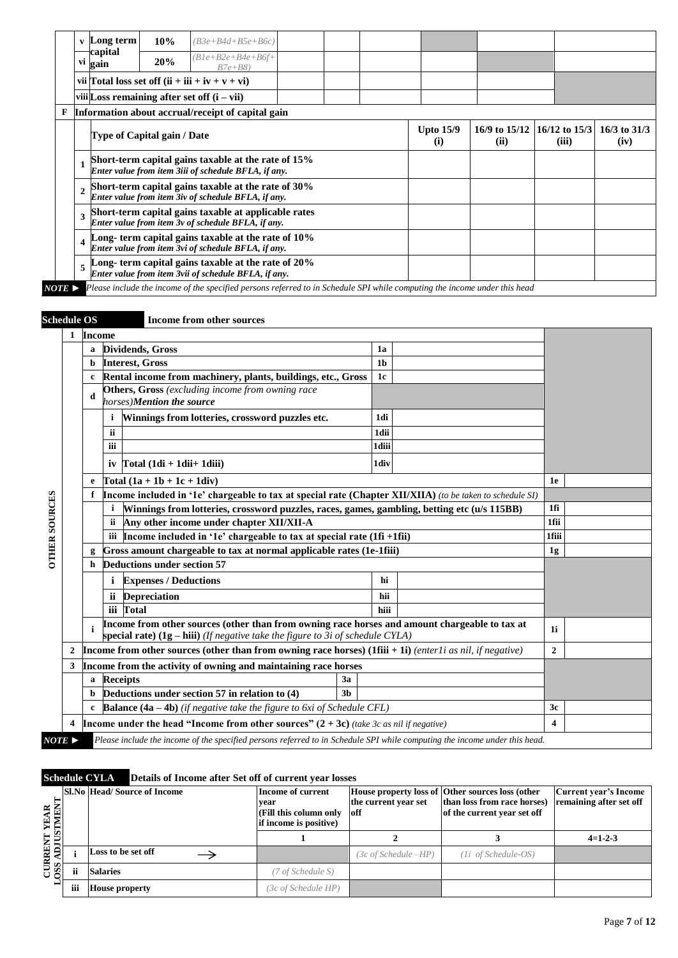|                       | V              | Long term          | 10%                         | $(B3e+B4d+B5e+B6c)$                                                                                                       |  |                         |                                     |       |                          |
|-----------------------|----------------|--------------------|-----------------------------|---------------------------------------------------------------------------------------------------------------------------|--|-------------------------|-------------------------------------|-------|--------------------------|
|                       |                | capital<br>vi gain | 20%                         | $(B1e+B2e+B4e+B6f+$<br>$B7e+B8$                                                                                           |  |                         |                                     |       |                          |
|                       |                |                    |                             | vii Total loss set off $(ii + iii + iv + v + vi)$                                                                         |  |                         |                                     |       |                          |
|                       |                |                    |                             | viii Loss remaining after set off $(i - vii)$                                                                             |  |                         |                                     |       |                          |
| F                     |                |                    |                             | Information about accrual/receipt of capital gain                                                                         |  |                         |                                     |       |                          |
|                       |                |                    | Type of Capital gain / Date |                                                                                                                           |  | <b>Upto 15/9</b><br>(i) | 16/9 to 15/12 16/12 to 15/3<br>(ii) | (iii) | $16/3$ to $31/3$<br>(iv) |
|                       | $\mathbf{1}$   |                    |                             | Short-term capital gains taxable at the rate of 15%<br>Enter value from item 3iii of schedule BFLA, if any.               |  |                         |                                     |       |                          |
|                       | $\overline{2}$ |                    |                             | Short-term capital gains taxable at the rate of 30%<br>Enter value from item 3iv of schedule BFLA, if any.                |  |                         |                                     |       |                          |
|                       | 3              |                    |                             | Short-term capital gains taxable at applicable rates<br>Enter value from item 3v of schedule BFLA, if any.                |  |                         |                                     |       |                          |
|                       | 4              |                    |                             | Long-term capital gains taxable at the rate of 10%<br>Enter value from item 3vi of schedule BFLA, if any.                 |  |                         |                                     |       |                          |
|                       | 5              |                    |                             | Long-term capital gains taxable at the rate of 20%<br>Enter value from item 3vii of schedule BFLA, if any.                |  |                         |                                     |       |                          |
| $NOTE \triangleright$ |                |                    |                             | Please include the income of the specified persons referred to in Schedule SPI while computing the income under this head |  |                         |                                     |       |                          |

## **Schedule OS Income from other sources**

|                       | 1                                                                                                                          | Income                                                         |                                                                                                                                                                                   |                |    |                  |  |
|-----------------------|----------------------------------------------------------------------------------------------------------------------------|----------------------------------------------------------------|-----------------------------------------------------------------------------------------------------------------------------------------------------------------------------------|----------------|----|------------------|--|
|                       |                                                                                                                            |                                                                | <b>Dividends</b> , Gross                                                                                                                                                          | 1a             |    |                  |  |
|                       |                                                                                                                            | b                                                              | <b>Interest, Gross</b>                                                                                                                                                            | 1 <sub>b</sub> |    |                  |  |
|                       |                                                                                                                            |                                                                | Rental income from machinery, plants, buildings, etc., Gross                                                                                                                      | 1c             |    |                  |  |
|                       |                                                                                                                            | d                                                              | Others, Gross (excluding income from owning race<br>horses)Mention the source                                                                                                     |                |    |                  |  |
|                       |                                                                                                                            |                                                                | Winnings from lotteries, crossword puzzles etc.<br>i                                                                                                                              | 1di            |    |                  |  |
|                       |                                                                                                                            |                                                                | ii                                                                                                                                                                                | 1dii           |    |                  |  |
|                       |                                                                                                                            |                                                                | iii                                                                                                                                                                               | 1diii          |    |                  |  |
|                       |                                                                                                                            |                                                                | iv $\Gamma$ otal (1di + 1dii + 1diii)                                                                                                                                             | 1div           |    |                  |  |
|                       |                                                                                                                            | e                                                              | $\boxed{\text{Total} (1a + 1b + 1c + 1div)}$                                                                                                                                      |                |    | 1e               |  |
|                       |                                                                                                                            | f.                                                             | <b>Income included in '1e' chargeable to tax at special rate (Chapter XII/XIIA)</b> (to be taken to schedule SI)                                                                  |                |    |                  |  |
| <b>OTHER SOURCES</b>  |                                                                                                                            |                                                                | Winnings from lotteries, crossword puzzles, races, games, gambling, betting etc (u/s 115BB)                                                                                       |                |    | 1fi              |  |
|                       |                                                                                                                            |                                                                | Any other income under chapter XII/XII-A<br><b>ii</b>                                                                                                                             |                |    | 1fii             |  |
|                       |                                                                                                                            |                                                                | Income included in '1e' chargeable to tax at special rate $(1fi + 1fi)$<br>iii                                                                                                    | 1fiii          |    |                  |  |
|                       |                                                                                                                            |                                                                | Gross amount chargeable to tax at normal applicable rates (1e-1fiii)                                                                                                              |                | 1g |                  |  |
|                       |                                                                                                                            | h                                                              | Deductions under section 57                                                                                                                                                       |                |    |                  |  |
|                       |                                                                                                                            |                                                                | <b>Expenses / Deductions</b><br>i.                                                                                                                                                | hi             |    |                  |  |
|                       |                                                                                                                            |                                                                | <b>Depreciation</b><br>ii.                                                                                                                                                        | hii            |    |                  |  |
|                       |                                                                                                                            |                                                                | iii Total                                                                                                                                                                         | hiii           |    |                  |  |
|                       |                                                                                                                            |                                                                | Income from other sources (other than from owning race horses and amount chargeable to tax at<br>special rate) $(1g - hiii)$ (If negative take the figure to 3i of schedule CYLA) |                |    | 1i               |  |
|                       | 2                                                                                                                          |                                                                | Income from other sources (other than from owning race horses) $(1$ fiii + 1i) (enterli as nil, if negative)                                                                      |                |    | $\mathbf{2}$     |  |
|                       | 3                                                                                                                          | Income from the activity of owning and maintaining race horses |                                                                                                                                                                                   |                |    |                  |  |
|                       |                                                                                                                            | a                                                              | <b>Receipts</b><br>3a                                                                                                                                                             |                |    |                  |  |
|                       |                                                                                                                            |                                                                | b <b>Deductions under section 57 in relation to (4)</b><br>3 <sub>h</sub>                                                                                                         |                |    |                  |  |
|                       |                                                                                                                            |                                                                | <b>Balance (4a – 4b)</b> (if negative take the figure to 6xi of Schedule CFL)                                                                                                     |                |    | 3c               |  |
|                       | 4                                                                                                                          |                                                                | <b>Income under the head "Income from other sources"</b> $(2 + 3c)$ (take 3c as nil if negative)                                                                                  |                |    | $\boldsymbol{4}$ |  |
| $NOTE \triangleright$ | Please include the income of the specified persons referred to in Schedule SPI while computing the income under this head. |                                                                |                                                                                                                                                                                   |                |    |                  |  |

#### **Schedule CYLA Details of Income after Set off of current year losses**

| <b>YEAR</b><br><b>TIMEN</b>   |     | <b>SI.No Head/Source of Income</b> | Income of current<br>vear<br>(Fill this column only<br>if income is positive) | the current year set<br><b>off</b> | House property loss of Other sources loss (other<br>than loss from race horses)<br>of the current year set off | Current year's Income<br>remaining after set off |
|-------------------------------|-----|------------------------------------|-------------------------------------------------------------------------------|------------------------------------|----------------------------------------------------------------------------------------------------------------|--------------------------------------------------|
|                               |     |                                    |                                                                               |                                    |                                                                                                                | $4=1-2-3$                                        |
| <b>CURRENT<br/>OSS ADJUST</b> |     | Loss to be set off                 |                                                                               | $(3c \text{ of Schedule} - HP)$    | $(1i \text{ of Schedule}-OS)$                                                                                  |                                                  |
|                               |     | <b>Salaries</b>                    | (7 of Schedule S)                                                             |                                    |                                                                                                                |                                                  |
|                               | iii | <b>House property</b>              | (3c of Schedule HP)                                                           |                                    |                                                                                                                |                                                  |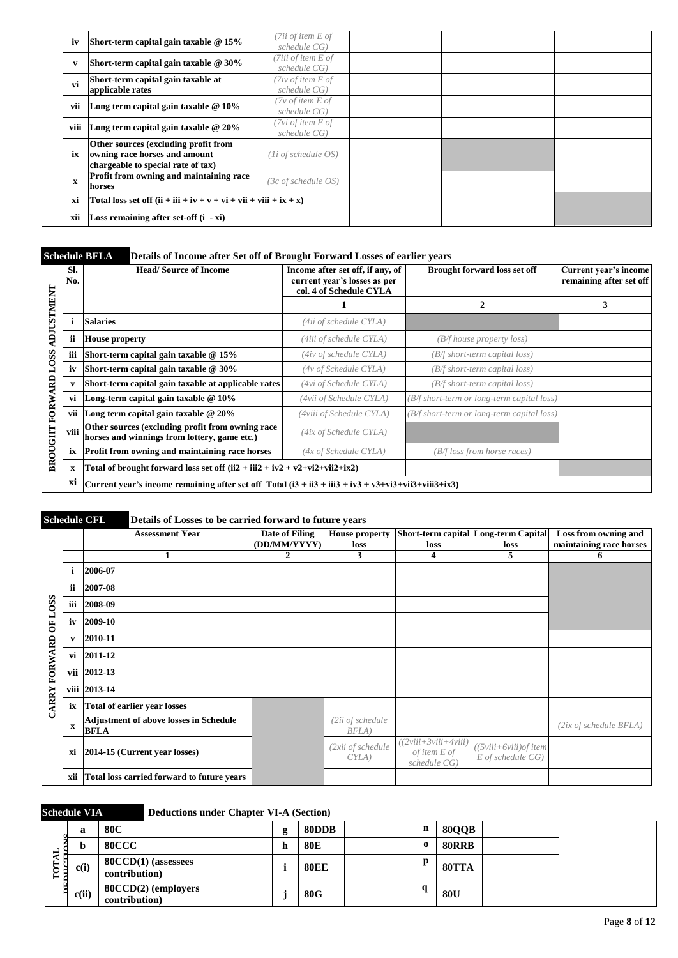| iv          | Short-term capital gain taxable $@15\%$                                                                     | (7ii of item $E$ of<br>schedule CG)     |  |  |
|-------------|-------------------------------------------------------------------------------------------------------------|-----------------------------------------|--|--|
| v           | Short-term capital gain taxable @ 30%                                                                       | (7iii of item E of<br>schedule CG)      |  |  |
| vi          | Short-term capital gain taxable at<br>applicable rates                                                      | ( $7$ iv of item $E$ of<br>schedule CG) |  |  |
| vii         | Long term capital gain taxable $@10\%$                                                                      | ( $7v$ of item E of<br>schedule CG)     |  |  |
| viii        | Long term capital gain taxable $@20\%$                                                                      | ( $7vi$ of item $E$ of<br>schedule CG)  |  |  |
| ix          | Other sources (excluding profit from<br>owning race horses and amount<br>chargeable to special rate of tax) | $(Ii$ of schedule $OS$ )                |  |  |
| $\mathbf x$ | <b>Profit from owning and maintaining race</b><br>horses                                                    | (3c of schedule OS)                     |  |  |
| xi          | Total loss set off $(ii + iii + iv + v + vi + vii + viii + ix + x)$                                         |                                         |  |  |
| xii         | Loss remaining after set-off (i - xi)                                                                       |                                         |  |  |

## **Schedule BFLA Details of Income after Set off of Brought Forward Losses of earlier years**

|                   | Sl.<br>No.   | <b>Head/Source of Income</b>                                                                                 | Income after set off, if any, of<br>current year's losses as per<br>col. 4 of Schedule CYLA | <b>Brought forward loss set off</b>        | Current year's income<br>remaining after set off |
|-------------------|--------------|--------------------------------------------------------------------------------------------------------------|---------------------------------------------------------------------------------------------|--------------------------------------------|--------------------------------------------------|
|                   |              |                                                                                                              |                                                                                             | 2                                          | 3                                                |
| <b>ADJUSTMENT</b> |              | <b>Salaries</b>                                                                                              | (4ii of schedule CYLA)                                                                      |                                            |                                                  |
|                   | ii           | <b>House property</b>                                                                                        | (4iii of schedule CYLA)                                                                     | (B/f house property loss)                  |                                                  |
| LOSS              | iii          | Short-term capital gain taxable $@15\%$                                                                      | (4iv of schedule CYLA)                                                                      | (B/f short-term capital loss)              |                                                  |
|                   | iv           | Short-term capital gain taxable $@30\%$                                                                      | (4v of Schedule CYLA)                                                                       | (B/f short-term capital loss)              |                                                  |
|                   | $\mathbf{v}$ | Short-term capital gain taxable at applicable rates                                                          | (4vi of Schedule CYLA)                                                                      | (B/f short-term capital loss)              |                                                  |
|                   | vi           | Long-term capital gain taxable $@10\%$                                                                       | (4vii of Schedule CYLA)                                                                     | (B/f short-term or long-term capital loss) |                                                  |
| FORWARD           | vii          | Long term capital gain taxable $@20\%$                                                                       | (4viii of Schedule CYLA)                                                                    | (B/f short-term or long-term capital loss) |                                                  |
| <b>BROUGHT</b>    | viii         | Other sources (excluding profit from owning race<br>horses and winnings from lottery, game etc.)             | (4ix of Schedule CYLA)                                                                      |                                            |                                                  |
|                   | ix           | Profit from owning and maintaining race horses                                                               | (4x of Schedule CYLA)                                                                       | (B/f loss from horse races)                |                                                  |
|                   | X            | Total of brought forward loss set off $(ii2 + iii2 + iv2 + v2 + vi2 + vi2 + ix2)$                            |                                                                                             |                                            |                                                  |
|                   | xi           | Current year's income remaining after set off Total $(i3 + ii3 + iii3 + iv3 + v3 + vi3 + vi3 + viii3 + ix3)$ |                                                                                             |                                            |                                                  |

# **Schedule CFL Details of Losses to be carried forward to future years**

|              |              | <b>Assessment Year</b>                                       | Date of Filing | <b>House property</b>        | Short-term capital Long-term Capital                        |                                                    | Loss from owning and    |
|--------------|--------------|--------------------------------------------------------------|----------------|------------------------------|-------------------------------------------------------------|----------------------------------------------------|-------------------------|
|              |              |                                                              | (DD/MM/YYYY)   | loss                         | loss                                                        | loss                                               | maintaining race horses |
|              |              |                                                              | 2              | 3                            | 4                                                           | 5                                                  | 6                       |
|              | i            | 2006-07                                                      |                |                              |                                                             |                                                    |                         |
|              | ii           | 2007-08                                                      |                |                              |                                                             |                                                    |                         |
|              | iii          | 2008-09                                                      |                |                              |                                                             |                                                    |                         |
| OF LOSS      | iv           | 2009-10                                                      |                |                              |                                                             |                                                    |                         |
|              | $\mathbf{v}$ | 2010-11                                                      |                |                              |                                                             |                                                    |                         |
| FORWARD      | vi           | 2011-12                                                      |                |                              |                                                             |                                                    |                         |
|              | vii          | 2012-13                                                      |                |                              |                                                             |                                                    |                         |
|              | viii         | 2013-14                                                      |                |                              |                                                             |                                                    |                         |
| <b>CARRY</b> | ix           | <b>Total of earlier year losses</b>                          |                |                              |                                                             |                                                    |                         |
|              | $\mathbf{x}$ | <b>Adjustment of above losses in Schedule</b><br><b>BFLA</b> |                | $(2ii$ of schedule<br>BFLA)  |                                                             |                                                    | (2ix of schedule BFLA)  |
|              | xi           | 2014-15 (Current year losses)                                |                | 2xii of schedule<br>$CYLA$ ) | $((2viii+3viii+4viii))$<br>$of$ item $E$ of<br>schedule CG) | $((5viii+6viii)$ of item<br>$E$ of schedule $CG$ ) |                         |
|              | xii          | Total loss carried forward to future years                   |                |                              |                                                             |                                                    |                         |

|          | <b>Schedule VIA</b> |                                       | <b>Deductions under Chapter VI-A (Section)</b> |   |             |          |              |  |
|----------|---------------------|---------------------------------------|------------------------------------------------|---|-------------|----------|--------------|--|
|          | a                   | 80C                                   |                                                | g | 80DDB       | n        | <b>80QQB</b> |  |
| ▄        |                     | <b>80CCC</b>                          |                                                | h | <b>80E</b>  | $\bf{0}$ | <b>80RRB</b> |  |
| ۹E<br>سر | c(i)                | $80CCD(1)$ (assesses<br>contribution) |                                                |   | <b>80EE</b> | p        | 80TTA        |  |
|          | c(ii)               | 80CCD(2) (employers<br>contribution)  |                                                |   | 80G         | q        | 80U          |  |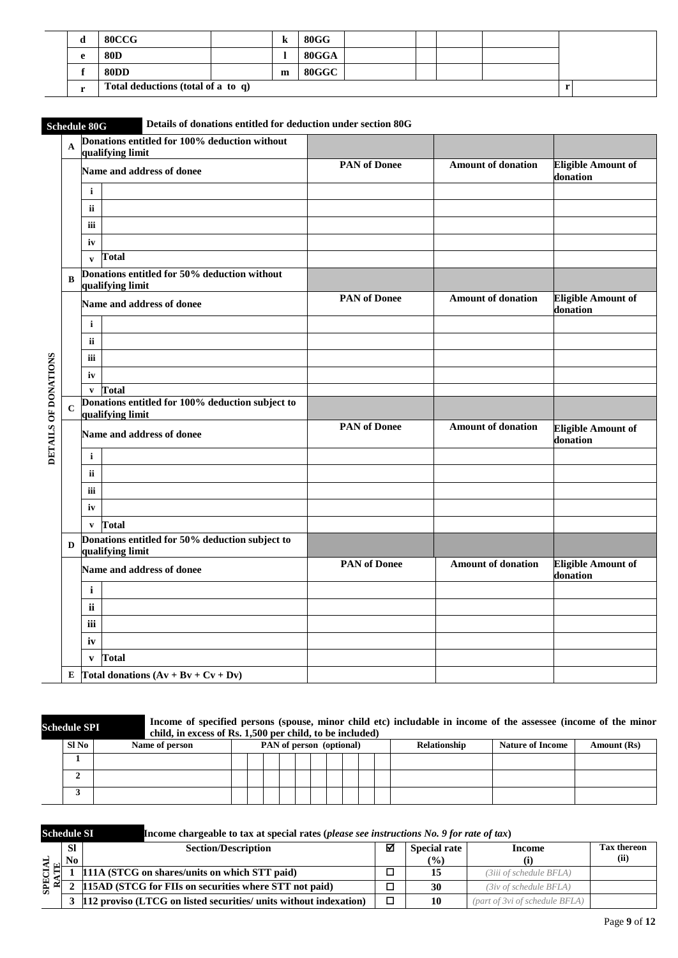| u | <b>80CCG</b>                       | K | 80GG  |  |  |  |
|---|------------------------------------|---|-------|--|--|--|
|   | <b>80D</b>                         |   | 80GGA |  |  |  |
|   | <b>80DD</b>                        | m | 80GGC |  |  |  |
|   | Total deductions (total of a to q) |   |       |  |  |  |

L.

# **Schedule 80G Details of donations entitled for deduction under section 80G**

|                      | $\mathbf{A}$ | Donations entitled for 100% deduction without<br>qualifying limit    |                     |                           |                                       |
|----------------------|--------------|----------------------------------------------------------------------|---------------------|---------------------------|---------------------------------------|
|                      |              | Name and address of donee                                            | <b>PAN</b> of Donee | <b>Amount of donation</b> | <b>Eligible Amount of</b><br>donation |
|                      |              | $\mathbf i$                                                          |                     |                           |                                       |
|                      |              | ii                                                                   |                     |                           |                                       |
|                      |              | iii                                                                  |                     |                           |                                       |
|                      |              | iv                                                                   |                     |                           |                                       |
|                      |              | <b>Total</b><br>$\mathbf{v}$                                         |                     |                           |                                       |
|                      | B            | Donations entitled for 50% deduction without<br>qualifying limit     |                     |                           |                                       |
|                      |              | Name and address of donee                                            | <b>PAN</b> of Donee | <b>Amount of donation</b> | <b>Eligible Amount of</b><br>donation |
|                      |              | $\mathbf{i}$                                                         |                     |                           |                                       |
|                      |              | ii                                                                   |                     |                           |                                       |
|                      |              | iii                                                                  |                     |                           |                                       |
|                      |              | iv                                                                   |                     |                           |                                       |
|                      |              | v Total                                                              |                     |                           |                                       |
|                      | $\mathbf C$  | Donations entitled for 100% deduction subject to<br>qualifying limit |                     |                           |                                       |
| DETAILS OF DONATIONS |              | Name and address of donee                                            | <b>PAN</b> of Donee | <b>Amount of donation</b> | <b>Eligible Amount of</b><br>donation |
|                      |              | $\mathbf{i}$                                                         |                     |                           |                                       |
|                      |              | ii                                                                   |                     |                           |                                       |
|                      |              | iii                                                                  |                     |                           |                                       |
|                      |              | iv                                                                   |                     |                           |                                       |
|                      |              | Total<br>$\mathbf{v}$                                                |                     |                           |                                       |
|                      | D            | Donations entitled for 50% deduction subject to<br>qualifying limit  |                     |                           |                                       |
|                      |              | Name and address of donee                                            | <b>PAN</b> of Donee | <b>Amount of donation</b> | <b>Eligible Amount of</b><br>donation |
|                      |              | $\mathbf i$                                                          |                     |                           |                                       |
|                      |              | ii                                                                   |                     |                           |                                       |
|                      |              | iii                                                                  |                     |                           |                                       |
|                      |              | iv                                                                   |                     |                           |                                       |
|                      |              | <b>Total</b><br>$\mathbf{v}$                                         |                     |                           |                                       |
|                      | E            | Total donations $(Av + Bv + Cv + Dv)$                                |                     |                           |                                       |

**Schedule SPI Income of specified persons (spouse, minor child etc) includable in income of the assessee (income of the minor child, in excess of Rs. 1,500 per child, to be included)** 

| Sl No | Name of person |  |  | PAN of person (optional) |  |  | Relationship | <b>Nature of Income</b> | Amount (Rs) |
|-------|----------------|--|--|--------------------------|--|--|--------------|-------------------------|-------------|
|       |                |  |  |                          |  |  |              |                         |             |
| ∸     |                |  |  |                          |  |  |              |                         |             |
| ◡     |                |  |  |                          |  |  |              |                         |             |

| <b>Schedule SI</b> |           | Income chargeable to tax at special rates (please see instructions $No$ , 9 for rate of tax) |   |                     |                                |                    |
|--------------------|-----------|----------------------------------------------------------------------------------------------|---|---------------------|--------------------------------|--------------------|
|                    | <b>SI</b> | <b>Section/Description</b>                                                                   | М | <b>Special rate</b> | Income                         | <b>Tax thereon</b> |
| ∢ ⊡া               | No        |                                                                                              |   | $\frac{9}{6}$       |                                | (ii)               |
|                    |           | 111A (STCG on shares/units on which STT paid)                                                |   | 15                  | (3iii of schedule BFLA)        |                    |
| 문장<br>≅            |           | 115AD (STCG for FIIs on securities where STT not paid)                                       |   | 30                  | $(3iv)$ of schedule BFLA)      |                    |
|                    |           | 3  112 proviso (LTCG on listed securities/ units without indexation)                         | □ | 10                  | (part of 3vi of schedule BFLA) |                    |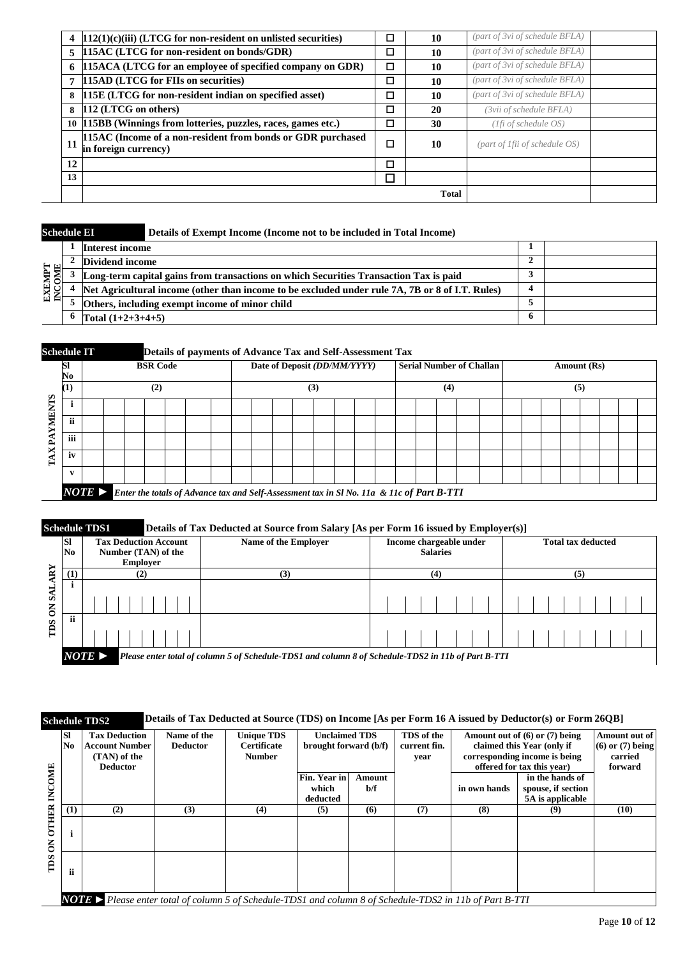|    | $[112(1)(c)(iii)$ (LTCG for non-resident on unlisted securities)                    | ◻      | 10           | (part of 3vi of schedule BFLA) |  |
|----|-------------------------------------------------------------------------------------|--------|--------------|--------------------------------|--|
| 5  | 115AC (LTCG for non-resident on bonds/GDR)                                          | □      | 10           | (part of 3vi of schedule BFLA) |  |
| 6  | 115ACA (LTCG for an employee of specified company on GDR)                           | $\Box$ | 10           | (part of 3vi of schedule BFLA) |  |
| 7  | 115AD (LTCG for FIIs on securities)                                                 | □      | 10           | (part of 3vi of schedule BFLA) |  |
| 8  | 115E (LTCG for non-resident indian on specified asset)                              | □      | 10           | (part of 3vi of schedule BFLA) |  |
| 8  | 112 (LTCG on others)                                                                | □      | 20           | (3vii of schedule BFLA)        |  |
|    | 10   115BB (Winnings from lotteries, puzzles, races, games etc.)                    | □      | 30           | (1fi of schedule OS)           |  |
| 11 | 115AC (Income of a non-resident from bonds or GDR purchased<br>in foreign currency) | ◻      | 10           | (part of 1fii of schedule OS)  |  |
| 12 |                                                                                     | □      |              |                                |  |
| 13 |                                                                                     | □      |              |                                |  |
|    |                                                                                     |        | <b>Total</b> |                                |  |

| <b>Schedule EI</b> |                     | Details of Exempt Income (Income not to be included in Total Income)                            |   |  |
|--------------------|---------------------|-------------------------------------------------------------------------------------------------|---|--|
|                    | Interest income     |                                                                                                 |   |  |
|                    | Dividend income     |                                                                                                 |   |  |
| <b>HINK</b>        |                     | Long-term capital gains from transactions on which Securities Transaction Tax is paid           |   |  |
| ម្ពិក្ត<br>GΖ      |                     | Net Agricultural income (other than income to be excluded under rule 7A, 7B or 8 of I.T. Rules) |   |  |
|                    |                     | Others, including exempt income of minor child                                                  |   |  |
|                    | Total $(1+2+3+4+5)$ |                                                                                                 | 6 |  |

| <b>Schedule IT</b> |                                     |                       | Details of payments of Advance Tax and Self-Assessment Tax |  |  |                                                                                           |  |  |  |  |     |  |                              |  |     |                                 |  |             |  |  |
|--------------------|-------------------------------------|-----------------------|------------------------------------------------------------|--|--|-------------------------------------------------------------------------------------------|--|--|--|--|-----|--|------------------------------|--|-----|---------------------------------|--|-------------|--|--|
|                    | <b>SI</b><br>$\mathbf{N}\mathbf{o}$ |                       | <b>BSR Code</b>                                            |  |  |                                                                                           |  |  |  |  |     |  | Date of Deposit (DD/MM/YYYY) |  |     | <b>Serial Number of Challan</b> |  | Amount (Rs) |  |  |
|                    | (1)                                 |                       | (2)                                                        |  |  |                                                                                           |  |  |  |  | (3) |  |                              |  | (4) |                                 |  | (5)         |  |  |
| Šν.<br>ᆓ<br>后      |                                     |                       |                                                            |  |  |                                                                                           |  |  |  |  |     |  |                              |  |     |                                 |  |             |  |  |
|                    | ii                                  |                       |                                                            |  |  |                                                                                           |  |  |  |  |     |  |                              |  |     |                                 |  |             |  |  |
|                    | iii                                 |                       |                                                            |  |  |                                                                                           |  |  |  |  |     |  |                              |  |     |                                 |  |             |  |  |
| ×<br>⊢             | iv                                  |                       |                                                            |  |  |                                                                                           |  |  |  |  |     |  |                              |  |     |                                 |  |             |  |  |
|                    |                                     |                       |                                                            |  |  |                                                                                           |  |  |  |  |     |  |                              |  |     |                                 |  |             |  |  |
|                    |                                     | $NOTE \triangleright$ |                                                            |  |  | Enter the totals of Advance tax and Self-Assessment tax in Sl No. 11a & 11c of Part B-TTI |  |  |  |  |     |  |                              |  |     |                                 |  |             |  |  |

#### **Schedule TDS1** Details of Tax Deducted at Source from Salary [As per Form 16 issued by Employer(s)]

|                        |                 | <b>SCREAME TDST</b>                                             | Details of Tax Deuteleu at Source from Salary [As per Form To issued by Employer(s)]               |                                            |                           |  |  |  |  |
|------------------------|-----------------|-----------------------------------------------------------------|----------------------------------------------------------------------------------------------------|--------------------------------------------|---------------------------|--|--|--|--|
|                        | <b>SI</b><br>No | <b>Tax Deduction Account</b><br>Number (TAN) of the<br>Employer | Name of the Employer                                                                               | Income chargeable under<br><b>Salaries</b> | <b>Total tax deducted</b> |  |  |  |  |
| $\mathbf{R}\mathbf{Y}$ |                 | (2)                                                             | (3)                                                                                                | (4)                                        |                           |  |  |  |  |
| $S_A$<br>$\mathsf{S}$  |                 |                                                                 |                                                                                                    |                                            |                           |  |  |  |  |
| m <sub>S</sub>         | -ii             |                                                                 |                                                                                                    |                                            |                           |  |  |  |  |
|                        |                 | $NOTE \triangleright$                                           | Please enter total of column 5 of Schedule-TDS1 and column 8 of Schedule-TDS2 in 11b of Part B-TTI |                                            |                           |  |  |  |  |

#### **Schedule TDS2 Details of Tax Deducted at Source (TDS) on Income [As per Form 16 A issued by Deductor(s) or Form 26QB]**

|                                | <b>SI</b><br>$\bf No$ | <b>Tax Deduction</b><br><b>Account Number</b><br>(TAN) of the<br><b>Deductor</b>                               | Name of the<br><b>Deductor</b> | <b>Unique TDS</b><br><b>Certificate</b><br><b>Number</b> | <b>Unclaimed TDS</b><br>brought forward (b/f) |               | TDS of the<br>current fin.<br>vear | Amount out of $(6)$ or $(7)$ being<br>claimed this Year (only if<br>corresponding income is being<br>offered for tax this year) |                                                           | Amount out of<br>$(6)$ or $(7)$ being<br>carried<br>forward |
|--------------------------------|-----------------------|----------------------------------------------------------------------------------------------------------------|--------------------------------|----------------------------------------------------------|-----------------------------------------------|---------------|------------------------------------|---------------------------------------------------------------------------------------------------------------------------------|-----------------------------------------------------------|-------------------------------------------------------------|
| INCOME                         |                       |                                                                                                                |                                |                                                          | Fin. Year in<br>which<br>deducted             | Amount<br>b/f |                                    | in own hands                                                                                                                    | in the hands of<br>spouse, if section<br>5A is applicable |                                                             |
|                                | (1)                   | (2)                                                                                                            | (3)                            | (4)                                                      | (5)                                           | (6)           | (7)                                | (8)                                                                                                                             | (9)                                                       | (10)                                                        |
| <b>OTHER</b><br>$\overline{6}$ |                       |                                                                                                                |                                |                                                          |                                               |               |                                    |                                                                                                                                 |                                                           |                                                             |
| TDS                            | ii                    |                                                                                                                |                                |                                                          |                                               |               |                                    |                                                                                                                                 |                                                           |                                                             |
|                                |                       | <b>NOTE</b> Please enter total of column 5 of Schedule-TDS1 and column 8 of Schedule-TDS2 in 11b of Part B-TTI |                                |                                                          |                                               |               |                                    |                                                                                                                                 |                                                           |                                                             |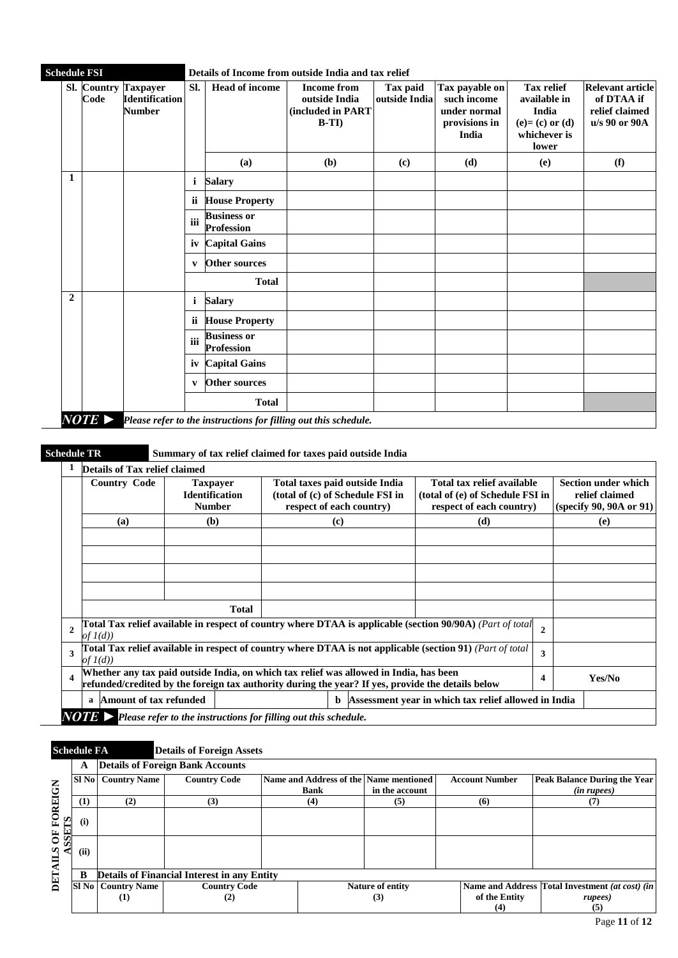| <b>Schedule FSI</b> |      |                                                                | Details of Income from outside India and tax relief |                                         |                                                                    |                           |                                                                                |                                                                                           |                                                                          |  |  |
|---------------------|------|----------------------------------------------------------------|-----------------------------------------------------|-----------------------------------------|--------------------------------------------------------------------|---------------------------|--------------------------------------------------------------------------------|-------------------------------------------------------------------------------------------|--------------------------------------------------------------------------|--|--|
|                     | Code | Sl. Country Taxpayer<br><b>Identification</b><br><b>Number</b> | SI.                                                 | <b>Head of income</b>                   | <b>Income from</b><br>outside India<br>(included in PART<br>$B-TI$ | Tax paid<br>outside India | Tax payable on<br>such income<br>under normal<br>provisions in<br><b>India</b> | <b>Tax relief</b><br>available in<br>India<br>$(e)=(c)$ or $(d)$<br>whichever is<br>lower | <b>Relevant article</b><br>of DTAA if<br>relief claimed<br>u/s 90 or 90A |  |  |
|                     |      |                                                                |                                                     | (a)                                     | ( <b>b</b> )                                                       | (c)                       | (d)                                                                            | (e)                                                                                       | (f)                                                                      |  |  |
| 1                   |      |                                                                | i                                                   | <b>Salary</b>                           |                                                                    |                           |                                                                                |                                                                                           |                                                                          |  |  |
|                     |      |                                                                | ii                                                  | <b>House Property</b>                   |                                                                    |                           |                                                                                |                                                                                           |                                                                          |  |  |
|                     |      |                                                                | iii                                                 | <b>Business or</b><br><b>Profession</b> |                                                                    |                           |                                                                                |                                                                                           |                                                                          |  |  |
|                     |      |                                                                | iv                                                  | <b>Capital Gains</b>                    |                                                                    |                           |                                                                                |                                                                                           |                                                                          |  |  |
|                     |      |                                                                | v                                                   | Other sources                           |                                                                    |                           |                                                                                |                                                                                           |                                                                          |  |  |
|                     |      |                                                                |                                                     | <b>Total</b>                            |                                                                    |                           |                                                                                |                                                                                           |                                                                          |  |  |
| $\mathbf{2}$        |      |                                                                | i                                                   | <b>Salary</b>                           |                                                                    |                           |                                                                                |                                                                                           |                                                                          |  |  |
|                     |      |                                                                | ii                                                  | <b>House Property</b>                   |                                                                    |                           |                                                                                |                                                                                           |                                                                          |  |  |
|                     |      |                                                                | iii                                                 | <b>Business or</b><br><b>Profession</b> |                                                                    |                           |                                                                                |                                                                                           |                                                                          |  |  |
|                     |      |                                                                | iv                                                  | <b>Capital Gains</b>                    |                                                                    |                           |                                                                                |                                                                                           |                                                                          |  |  |
|                     |      |                                                                | v                                                   | Other sources                           |                                                                    |                           |                                                                                |                                                                                           |                                                                          |  |  |
|                     |      |                                                                |                                                     | <b>Total</b>                            |                                                                    |                           |                                                                                |                                                                                           |                                                                          |  |  |

## **Schedule TR Summary of tax relief claimed for taxes paid outside India**

|                         | Details of Tax relief claimed                                                          |                                                                                                           |                                                                                                           |                                                                                            |                |                                                                         |
|-------------------------|----------------------------------------------------------------------------------------|-----------------------------------------------------------------------------------------------------------|-----------------------------------------------------------------------------------------------------------|--------------------------------------------------------------------------------------------|----------------|-------------------------------------------------------------------------|
|                         | <b>Country Code</b>                                                                    | <b>Taxpayer</b><br><b>Identification</b><br><b>Number</b>                                                 | Total taxes paid outside India<br>(total of (c) of Schedule FSI in<br>respect of each country)            | Total tax relief available<br>(total of (e) of Schedule FSI in<br>respect of each country) |                | <b>Section under which</b><br>relief claimed<br>(specify 90, 90A or 91) |
|                         | (a)                                                                                    | (b)                                                                                                       | $\left( \mathbf{c} \right)$                                                                               | (d)                                                                                        |                | (e)                                                                     |
|                         |                                                                                        |                                                                                                           |                                                                                                           |                                                                                            |                |                                                                         |
|                         |                                                                                        |                                                                                                           |                                                                                                           |                                                                                            |                |                                                                         |
|                         |                                                                                        |                                                                                                           |                                                                                                           |                                                                                            |                |                                                                         |
|                         |                                                                                        |                                                                                                           |                                                                                                           |                                                                                            |                |                                                                         |
|                         |                                                                                        | <b>Total</b>                                                                                              |                                                                                                           |                                                                                            |                |                                                                         |
| $\overline{2}$          | of $I(d)$                                                                              |                                                                                                           | Total Tax relief available in respect of country where DTAA is applicable (section 90/90A) (Part of total |                                                                                            | $\overline{2}$ |                                                                         |
| 3                       | of $I(d)$                                                                              | Total Tax relief available in respect of country where DTAA is not applicable (section 91) (Part of total | 3                                                                                                         |                                                                                            |                |                                                                         |
| $\overline{\mathbf{4}}$ | Whether any tax paid outside India, on which tax relief was allowed in India, has been | refunded/credited by the foreign tax authority during the year? If yes, provide the details below         | 4                                                                                                         | Yes/No                                                                                     |                |                                                                         |
|                         | Amount of tax refunded<br>a                                                            | Assessment year in which tax relief allowed in India                                                      |                                                                                                           |                                                                                            |                |                                                                         |
|                         |                                                                                        |                                                                                                           | $\text{NOTE}$ > Please refer to the instructions for filling out this schedule.                           |                                                                                            |                |                                                                         |

|                         | <b>Schedule FA</b> |                                                    | <b>Details of Foreign Assets</b>                   |  |                  |                                        |  |                       |                                                 |  |
|-------------------------|--------------------|----------------------------------------------------|----------------------------------------------------|--|------------------|----------------------------------------|--|-----------------------|-------------------------------------------------|--|
|                         | A                  | <b>Details of Foreign Bank Accounts</b>            |                                                    |  |                  |                                        |  |                       |                                                 |  |
|                         | SI No              | <b>Country Name</b>                                | <b>Country Code</b>                                |  |                  | Name and Address of the Name mentioned |  | <b>Account Number</b> | <b>Peak Balance During the Year</b>             |  |
|                         |                    |                                                    |                                                    |  | <b>Bank</b>      | in the account                         |  |                       | ( <i>in rupees</i> )                            |  |
|                         | (1)                | (2)                                                | (3)                                                |  | (4)              | (5)                                    |  | (6)                   | (7)                                             |  |
| <b>OF FOREIGN</b><br>ΣL | (i)                |                                                    |                                                    |  |                  |                                        |  |                       |                                                 |  |
| <b>SSE</b>              | (ii)               |                                                    |                                                    |  |                  |                                        |  |                       |                                                 |  |
| DETAII                  | B                  |                                                    | <b>Details of Financial Interest in any Entity</b> |  |                  |                                        |  |                       |                                                 |  |
|                         |                    | <b>SI No   Country Name</b><br><b>Country Code</b> |                                                    |  | Nature of entity |                                        |  |                       | Name and Address Total Investment (at cost) (in |  |
|                         |                    | $\mathbf{u}$                                       | (2)                                                |  | (3)              |                                        |  | of the Entity         | rupees)                                         |  |
|                         |                    |                                                    |                                                    |  |                  |                                        |  | (4)                   | (5)                                             |  |